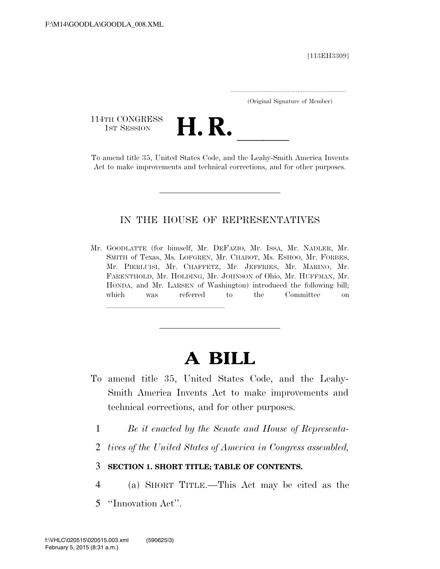[113EH3309]

.....................................................................

(Original Signature of Member)

114TH CONGRESS<br>1st Session

114TH CONGRESS<br>
1st Session<br>
To amend title 35, United States Code, and the Leahy-Smith America Invents

Act to make improvements and technical corrections, and for other purposes.

# IN THE HOUSE OF REPRESENTATIVES

Mr. GOODLATTE (for himself, Mr. DEFAZIO, Mr. ISSA, Mr. NADLER, Mr. SMITH of Texas, Ms. LOFGREN, Mr. CHABOT, Ms. ESHOO, Mr. FORBES, Mr. PIERLUISI, Mr. CHAFFETZ, Mr. JEFFRIES, Mr. MARINO, Mr. FARENTHOLD, Mr. HOLDING, Mr. JOHNSON of Ohio, Mr. HUFFMAN, Mr. HONDA, and Mr. LARSEN of Washington) introduced the following bill; which was referred to the Committee on

llland and a state of the state of the state of the state of the state of the state of the state of the state o<br>The state of the state of the state of the state of the state of the state of the state of the state of the st

# **A BILL**

- To amend title 35, United States Code, and the Leahy-Smith America Invents Act to make improvements and technical corrections, and for other purposes.
	- 1 *Be it enacted by the Senate and House of Representa-*
	- 2 *tives of the United States of America in Congress assembled,*

# 3 **SECTION 1. SHORT TITLE; TABLE OF CONTENTS.**

- 4 (a) SHORT TITLE.—This Act may be cited as the
- 5 ''Innovation Act''.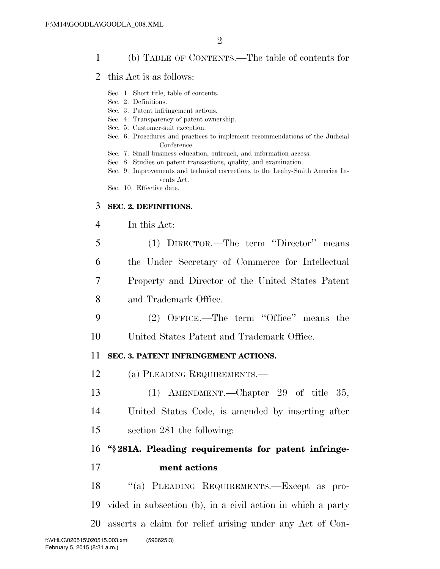# 1 (b) TABLE OF CONTENTS.—The table of contents for

- 2 this Act is as follows:
	- Sec. 1. Short title; table of contents.
	- Sec. 2. Definitions.
	- Sec. 3. Patent infringement actions.
	- Sec. 4. Transparency of patent ownership.
	- Sec. 5. Customer-suit exception.
	- Sec. 6. Procedures and practices to implement recommendations of the Judicial Conference.
	- Sec. 7. Small business education, outreach, and information access.
	- Sec. 8. Studies on patent transactions, quality, and examination.
	- Sec. 9. Improvements and technical corrections to the Leahy-Smith America Invents Act.
	- Sec. 10. Effective date.

# 3 **SEC. 2. DEFINITIONS.**

## 4 In this Act:

- 5 (1) DIRECTOR.—The term ''Director'' means 6 the Under Secretary of Commerce for Intellectual 7 Property and Director of the United States Patent 8 and Trademark Office.
- 9 (2) OFFICE.—The term ''Office'' means the

10 United States Patent and Trademark Office.

# 11 **SEC. 3. PATENT INFRINGEMENT ACTIONS.**

- 12 (a) PLEADING REQUIREMENTS.—
- 13 (1) AMENDMENT.—Chapter 29 of title 35,
- 14 United States Code, is amended by inserting after
- 15 section 281 the following:

# 16 **''§ 281A. Pleading requirements for patent infringe-**17 **ment actions**

18 ''(a) PLEADING REQUIREMENTS.—Except as pro-19 vided in subsection (b), in a civil action in which a party 20 asserts a claim for relief arising under any Act of Con-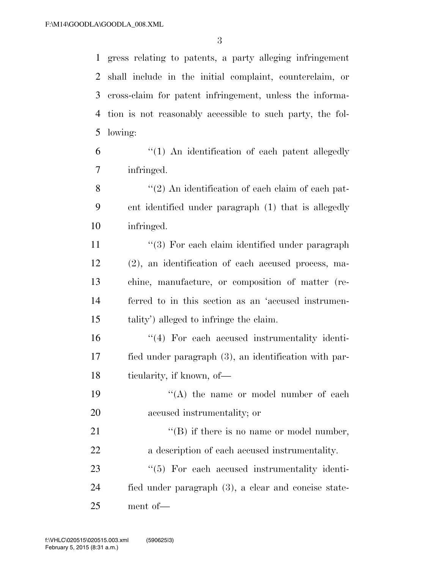gress relating to patents, a party alleging infringement shall include in the initial complaint, counterclaim, or cross-claim for patent infringement, unless the informa- tion is not reasonably accessible to such party, the fol-lowing:

 ''(1) An identification of each patent allegedly infringed.

8 ''(2) An identification of each claim of each pat- ent identified under paragraph (1) that is allegedly infringed.

11 ''(3) For each claim identified under paragraph (2), an identification of each accused process, ma- chine, manufacture, or composition of matter (re- ferred to in this section as an 'accused instrumen-tality') alleged to infringe the claim.

16 "(4) For each accused instrumentality identi- fied under paragraph (3), an identification with par-18 ticularity, if known, of

19 ''(A) the name or model number of each accused instrumentality; or

21 ''(B) if there is no name or model number, a description of each accused instrumentality.

23  $\frac{1}{5}$  For each accused instrumentality identi- fied under paragraph (3), a clear and concise state-ment of—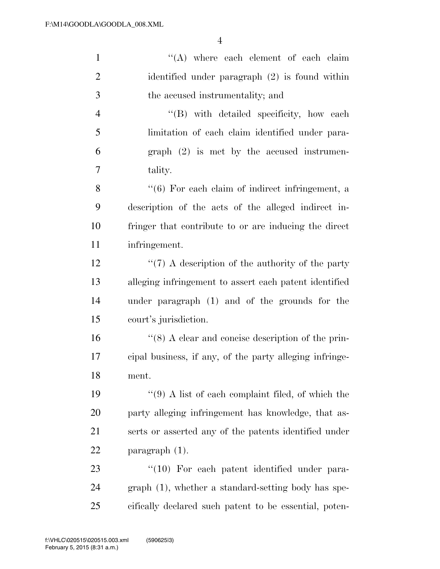| $\mathbf{1}$   | "(A) where each element of each claim                       |
|----------------|-------------------------------------------------------------|
| $\overline{2}$ | identified under paragraph $(2)$ is found within            |
| 3              | the accused instrumentality; and                            |
| $\overline{4}$ | "(B) with detailed specificity, how each                    |
| 5              | limitation of each claim identified under para-             |
| 6              | $graph (2)$ is met by the accused instrumen-                |
| $\tau$         | tality.                                                     |
| 8              | $\cdot\cdot$ (6) For each claim of indirect infringement, a |
| 9              | description of the acts of the alleged indirect in-         |
| 10             | fringer that contribute to or are inducing the direct       |
| 11             | infringement.                                               |
| 12             | $\lq(7)$ A description of the authority of the party        |
| 13             | alleging infringement to assert each patent identified      |
| 14             | under paragraph (1) and of the grounds for the              |
| 15             | court's jurisdiction.                                       |
| 16             | $\cdot$ (8) A clear and concise description of the prin-    |
| 17             | cipal business, if any, of the party alleging infringe-     |
| 18             | ment.                                                       |
| 19             | $``(9)$ A list of each complaint filed, of which the        |
| 20             | party alleging infringement has knowledge, that as-         |
| 21             | serts or asserted any of the patents identified under       |
| 22             | paragraph $(1)$ .                                           |
| 23             | $\lq(10)$ For each patent identified under para-            |
| 24             | graph (1), whether a standard-setting body has spe-         |
| 25             | cifically declared such patent to be essential, poten-      |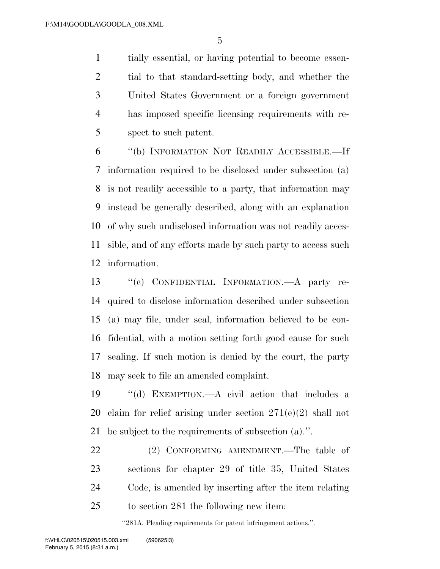tially essential, or having potential to become essen- tial to that standard-setting body, and whether the United States Government or a foreign government has imposed specific licensing requirements with re-spect to such patent.

 ''(b) INFORMATION NOT READILY ACCESSIBLE.—If information required to be disclosed under subsection (a) is not readily accessible to a party, that information may instead be generally described, along with an explanation of why such undisclosed information was not readily acces- sible, and of any efforts made by such party to access such information.

 ''(c) CONFIDENTIAL INFORMATION.—A party re- quired to disclose information described under subsection (a) may file, under seal, information believed to be con- fidential, with a motion setting forth good cause for such sealing. If such motion is denied by the court, the party may seek to file an amended complaint.

 ''(d) EXEMPTION.—A civil action that includes a claim for relief arising under section 271(e)(2) shall not be subject to the requirements of subsection (a).''.

22 (2) CONFORMING AMENDMENT.—The table of sections for chapter 29 of title 35, United States Code, is amended by inserting after the item relating to section 281 the following new item:

''281A. Pleading requirements for patent infringement actions.''.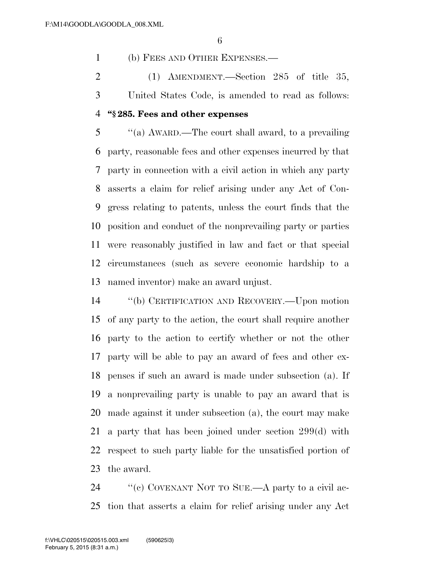(b) FEES AND OTHER EXPENSES.—

 (1) AMENDMENT.—Section 285 of title 35, United States Code, is amended to read as follows:

#### **''§ 285. Fees and other expenses**

 ''(a) AWARD.—The court shall award, to a prevailing party, reasonable fees and other expenses incurred by that party in connection with a civil action in which any party asserts a claim for relief arising under any Act of Con- gress relating to patents, unless the court finds that the position and conduct of the nonprevailing party or parties were reasonably justified in law and fact or that special circumstances (such as severe economic hardship to a named inventor) make an award unjust.

 ''(b) CERTIFICATION AND RECOVERY.—Upon motion of any party to the action, the court shall require another party to the action to certify whether or not the other party will be able to pay an award of fees and other ex- penses if such an award is made under subsection (a). If a nonprevailing party is unable to pay an award that is made against it under subsection (a), the court may make a party that has been joined under section 299(d) with respect to such party liable for the unsatisfied portion of the award.

24 "'(c) COVENANT NOT TO SUE.—A party to a civil ac-tion that asserts a claim for relief arising under any Act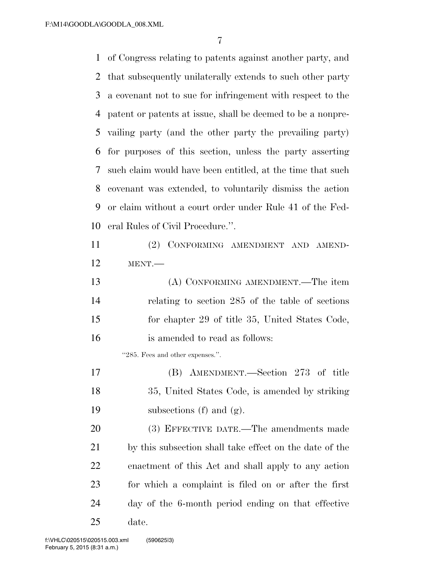of Congress relating to patents against another party, and that subsequently unilaterally extends to such other party a covenant not to sue for infringement with respect to the patent or patents at issue, shall be deemed to be a nonpre- vailing party (and the other party the prevailing party) for purposes of this section, unless the party asserting such claim would have been entitled, at the time that such covenant was extended, to voluntarily dismiss the action or claim without a court order under Rule 41 of the Fed- eral Rules of Civil Procedure.''. (2) CONFORMING AMENDMENT AND AMEND-MENT.—

| 13 | (A) CONFORMING AMENDMENT.—The item               |
|----|--------------------------------------------------|
| 14 | relating to section 285 of the table of sections |
| 15 | for chapter 29 of title 35, United States Code,  |
| 16 | is amended to read as follows:                   |

''285. Fees and other expenses.''.

 (B) AMENDMENT.—Section 273 of title 35, United States Code, is amended by striking subsections (f) and (g).

 (3) EFFECTIVE DATE.—The amendments made by this subsection shall take effect on the date of the enactment of this Act and shall apply to any action for which a complaint is filed on or after the first day of the 6-month period ending on that effective date.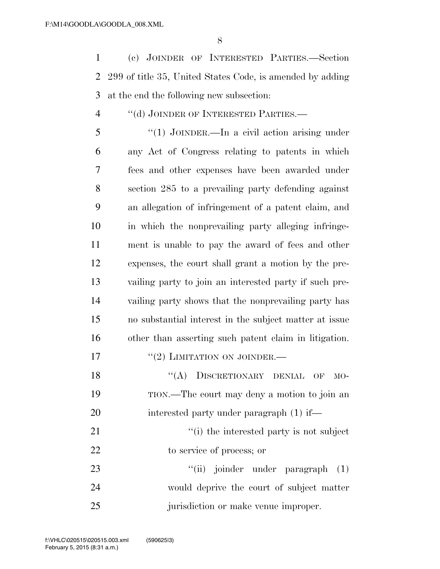(c) JOINDER OF INTERESTED PARTIES.—Section 299 of title 35, United States Code, is amended by adding at the end the following new subsection:

# ''(d) JOINDER OF INTERESTED PARTIES.—

 ''(1) JOINDER.—In a civil action arising under any Act of Congress relating to patents in which fees and other expenses have been awarded under section 285 to a prevailing party defending against an allegation of infringement of a patent claim, and in which the nonprevailing party alleging infringe- ment is unable to pay the award of fees and other expenses, the court shall grant a motion by the pre- vailing party to join an interested party if such pre- vailing party shows that the nonprevailing party has no substantial interest in the subject matter at issue other than asserting such patent claim in litigation.

- 17 "(2) LIMITATION ON JOINDER.—
- 18 "(A) DISCRETIONARY DENIAL OF MO- TION.—The court may deny a motion to join an 20 interested party under paragraph (1) if—

21 ''(i) the interested party is not subject to service of process; or

23 ''(ii) joinder under paragraph (1) would deprive the court of subject matter 25 iurisdiction or make venue improper.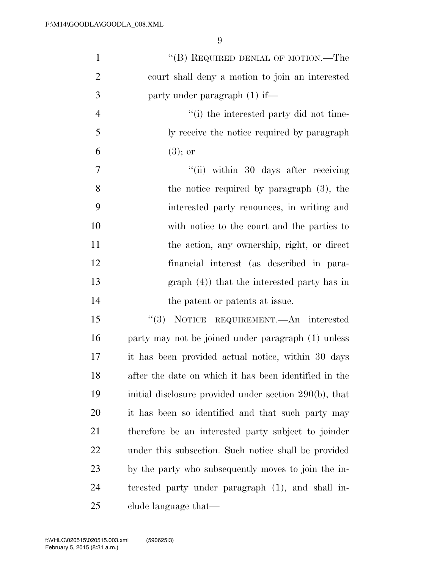| $\mathbf{1}$   | "(B) REQUIRED DENIAL OF MOTION.—The                    |
|----------------|--------------------------------------------------------|
| $\overline{2}$ | court shall deny a motion to join an interested        |
| 3              | party under paragraph $(1)$ if—                        |
| $\overline{4}$ | "(i) the interested party did not time-                |
| 5              | ly receive the notice required by paragraph            |
| 6              | $(3)$ ; or                                             |
| 7              | "(ii) within 30 days after receiving                   |
| 8              | the notice required by paragraph $(3)$ , the           |
| 9              | interested party renounces, in writing and             |
| 10             | with notice to the court and the parties to            |
| 11             | the action, any ownership, right, or direct            |
| 12             | financial interest (as described in para-              |
| 13             | graph $(4)$ ) that the interested party has in         |
| 14             | the patent or patents at issue.                        |
| 15             | "(3) NOTICE REQUIREMENT.—An interested                 |
| 16             | party may not be joined under paragraph (1) unless     |
| 17             | it has been provided actual notice, within 30 days     |
| 18             | after the date on which it has been identified in the  |
| 19             | initial disclosure provided under section 290(b), that |
| 20             | it has been so identified and that such party may      |
| 21             | therefore be an interested party subject to joinder    |
| 22             | under this subsection. Such notice shall be provided   |
| 23             | by the party who subsequently moves to join the in-    |
| 24             | terested party under paragraph (1), and shall in-      |
| 25             | clude language that—                                   |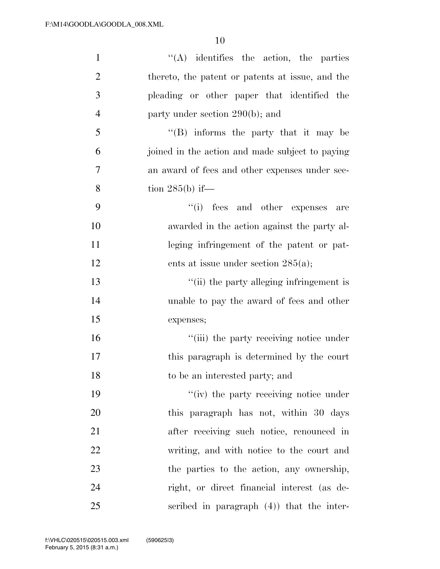| $\mathbf{1}$   | $\lq\lq$ identifies the action, the parties      |
|----------------|--------------------------------------------------|
| $\overline{2}$ | thereto, the patent or patents at issue, and the |
| 3              | pleading or other paper that identified the      |
| $\overline{4}$ | party under section 290(b); and                  |
| 5              | $\lq\lq (B)$ informs the party that it may be    |
| 6              | joined in the action and made subject to paying  |
| 7              | an award of fees and other expenses under sec-   |
| 8              | tion $285(b)$ if—                                |
| 9              | "(i) fees and other expenses<br>are              |
| 10             | awarded in the action against the party al-      |
| 11             | leging infringement of the patent or pat-        |
| 12             | ents at issue under section $285(a)$ ;           |
| 13             | "(ii) the party alleging infringement is         |
| 14             | unable to pay the award of fees and other        |
| 15             | expenses;                                        |
| 16             | "(iii) the party receiving notice under          |
| 17             | this paragraph is determined by the court        |
| 18             | to be an interested party; and                   |
| 19             | "(iv) the party receiving notice under           |
| 20             | this paragraph has not, within 30 days           |
| 21             | after receiving such notice, renounced in        |
| 22             | writing, and with notice to the court and        |
| 23             | the parties to the action, any ownership,        |
| 24             | right, or direct financial interest (as de-      |
| 25             | scribed in paragraph $(4)$ ) that the inter-     |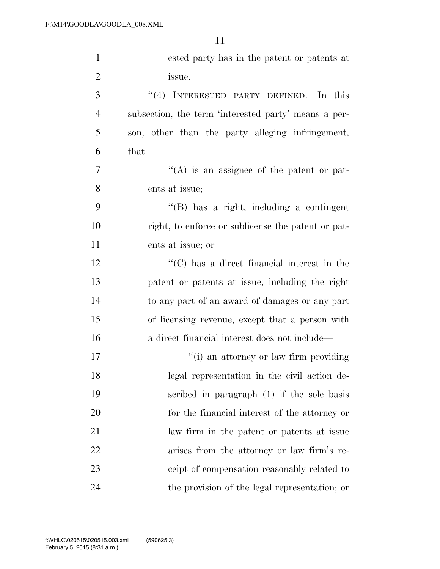| $\mathbf{1}$   | ested party has in the patent or patents at                      |
|----------------|------------------------------------------------------------------|
| $\overline{2}$ | issue.                                                           |
| 3              | INTERESTED PARTY DEFINED. In this<br>(4)                         |
| $\overline{4}$ | subsection, the term 'interested party' means a per-             |
| 5              | son, other than the party alleging infringement,                 |
| 6              | that—                                                            |
| 7              | $\lq\lq$ is an assignee of the patent or pat-                    |
| 8              | ents at issue;                                                   |
| 9              | $\lq\lq$ (B) has a right, including a contingent                 |
| 10             | right, to enforce or sublicense the patent or pat-               |
| 11             | ents at issue; or                                                |
| 12             | $\lq\lq$ <sup>"</sup> (C) has a direct financial interest in the |
| 13             | patent or patents at issue, including the right                  |
| 14             | to any part of an award of damages or any part                   |
| 15             | of licensing revenue, except that a person with                  |
| 16             | a direct financial interest does not include—                    |
| 17             | "(i) an attorney or law firm providing                           |
| 18             | legal representation in the civil action de-                     |
| 19             | scribed in paragraph (1) if the sole basis                       |
| 20             | for the financial interest of the attorney or                    |
| 21             | law firm in the patent or patents at issue                       |
| 22             | arises from the attorney or law firm's re-                       |
| 23             | ceipt of compensation reasonably related to                      |
| 24             | the provision of the legal representation; or                    |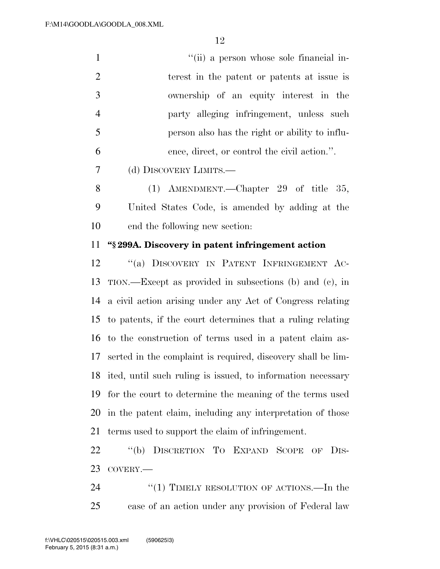| $\mathbf{1}$   | "(ii) a person whose sole financial in-                                                                                                                                                                                                                                                                                                                         |
|----------------|-----------------------------------------------------------------------------------------------------------------------------------------------------------------------------------------------------------------------------------------------------------------------------------------------------------------------------------------------------------------|
| $\overline{2}$ | terest in the patent or patents at issue is                                                                                                                                                                                                                                                                                                                     |
| 3              | ownership of an equity interest in the                                                                                                                                                                                                                                                                                                                          |
| $\overline{4}$ | party alleging infringement, unless such                                                                                                                                                                                                                                                                                                                        |
| 5              | person also has the right or ability to influ-                                                                                                                                                                                                                                                                                                                  |
| 6              | ence, direct, or control the civil action.".                                                                                                                                                                                                                                                                                                                    |
| $\overline{7}$ | (d) DISCOVERY LIMITS.—                                                                                                                                                                                                                                                                                                                                          |
| 8              | (1) AMENDMENT.—Chapter 29 of title 35,                                                                                                                                                                                                                                                                                                                          |
| 9              | United States Code, is amended by adding at the                                                                                                                                                                                                                                                                                                                 |
| 10             | end the following new section:                                                                                                                                                                                                                                                                                                                                  |
| 11             | "\\$299A. Discovery in patent infringement action                                                                                                                                                                                                                                                                                                               |
| 12             | "(a) DISCOVERY IN PATENT INFRINGEMENT AC-                                                                                                                                                                                                                                                                                                                       |
| 13             | TION.—Except as provided in subsections (b) and (c), in                                                                                                                                                                                                                                                                                                         |
| 14             | a civil action arising under any Act of Congress relating                                                                                                                                                                                                                                                                                                       |
| 15             | to patents, if the court determines that a ruling relating                                                                                                                                                                                                                                                                                                      |
| 16             | to the construction of terms used in a patent claim as-                                                                                                                                                                                                                                                                                                         |
| 17             | serted in the complaint is required, discovery shall be lim-                                                                                                                                                                                                                                                                                                    |
|                | $\overline{10}$ $\overline{10}$ $\overline{11}$ $\overline{11}$ $\overline{11}$ $\overline{11}$ $\overline{11}$ $\overline{11}$ $\overline{11}$ $\overline{11}$ $\overline{11}$ $\overline{11}$ $\overline{11}$ $\overline{11}$ $\overline{11}$ $\overline{11}$ $\overline{11}$ $\overline{11}$ $\overline{11}$ $\overline{11}$ $\overline{11}$ $\overline{11}$ |

 ited, until such ruling is issued, to information necessary for the court to determine the meaning of the terms used in the patent claim, including any interpretation of those terms used to support the claim of infringement.

 ''(b) DISCRETION TO EXPAND SCOPE OF DIS-COVERY.—

24 ''(1) TIMELY RESOLUTION OF ACTIONS.—In the case of an action under any provision of Federal law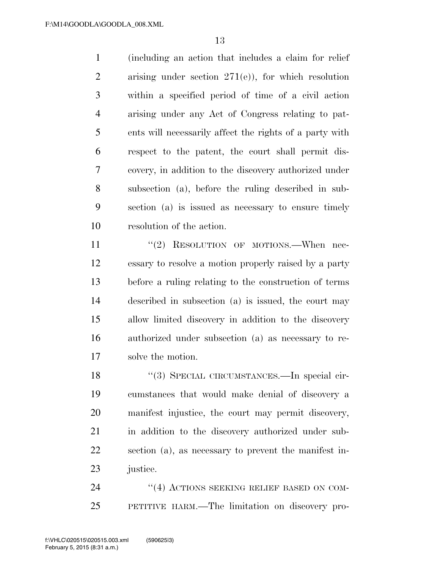(including an action that includes a claim for relief arising under section 271(e)), for which resolution within a specified period of time of a civil action arising under any Act of Congress relating to pat- ents will necessarily affect the rights of a party with respect to the patent, the court shall permit dis- covery, in addition to the discovery authorized under subsection (a), before the ruling described in sub- section (a) is issued as necessary to ensure timely resolution of the action.

11 "(2) RESOLUTION OF MOTIONS.—When nec- essary to resolve a motion properly raised by a party before a ruling relating to the construction of terms described in subsection (a) is issued, the court may allow limited discovery in addition to the discovery authorized under subsection (a) as necessary to re-solve the motion.

18 "(3) SPECIAL CIRCUMSTANCES.—In special cir- cumstances that would make denial of discovery a manifest injustice, the court may permit discovery, in addition to the discovery authorized under sub- section (a), as necessary to prevent the manifest in-justice.

24 "(4) ACTIONS SEEKING RELIEF BASED ON COM-PETITIVE HARM.—The limitation on discovery pro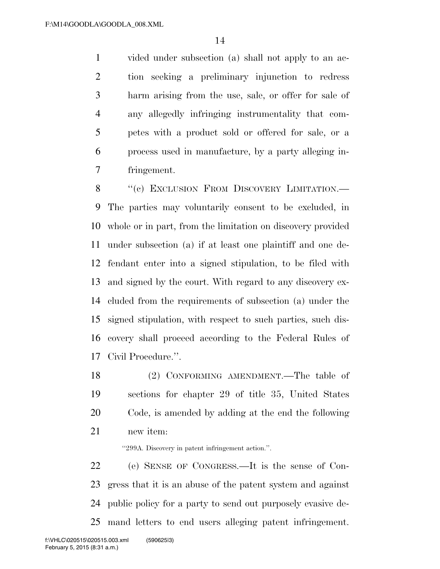vided under subsection (a) shall not apply to an ac- tion seeking a preliminary injunction to redress harm arising from the use, sale, or offer for sale of any allegedly infringing instrumentality that com- petes with a product sold or offered for sale, or a process used in manufacture, by a party alleging in-fringement.

8 "(c) EXCLUSION FROM DISCOVERY LIMITATION.— The parties may voluntarily consent to be excluded, in whole or in part, from the limitation on discovery provided under subsection (a) if at least one plaintiff and one de- fendant enter into a signed stipulation, to be filed with and signed by the court. With regard to any discovery ex- cluded from the requirements of subsection (a) under the signed stipulation, with respect to such parties, such dis- covery shall proceed according to the Federal Rules of Civil Procedure.''.

 (2) CONFORMING AMENDMENT.—The table of sections for chapter 29 of title 35, United States Code, is amended by adding at the end the following new item:

''299A. Discovery in patent infringement action.''.

 (e) SENSE OF CONGRESS.—It is the sense of Con- gress that it is an abuse of the patent system and against public policy for a party to send out purposely evasive de-mand letters to end users alleging patent infringement.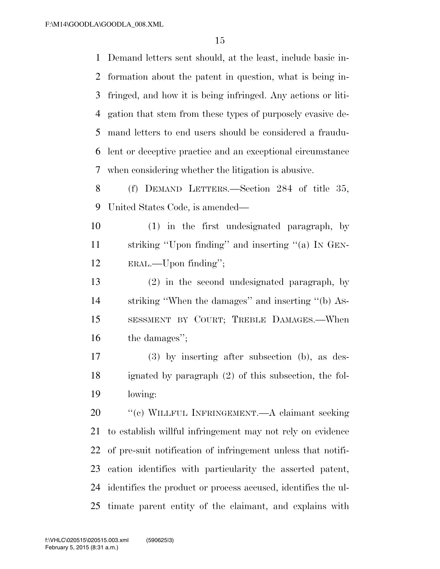Demand letters sent should, at the least, include basic in- formation about the patent in question, what is being in- fringed, and how it is being infringed. Any actions or liti- gation that stem from these types of purposely evasive de- mand letters to end users should be considered a fraudu- lent or deceptive practice and an exceptional circumstance when considering whether the litigation is abusive.

 (f) DEMAND LETTERS.—Section 284 of title 35, United States Code, is amended—

 (1) in the first undesignated paragraph, by striking ''Upon finding'' and inserting ''(a) IN GEN-ERAL.—Upon finding'';

 (2) in the second undesignated paragraph, by striking ''When the damages'' and inserting ''(b) AS- SESSMENT BY COURT; TREBLE DAMAGES.—When the damages'';

 (3) by inserting after subsection (b), as des- ignated by paragraph (2) of this subsection, the fol-lowing:

20 "'(c) WILLFUL INFRINGEMENT.—A claimant seeking to establish willful infringement may not rely on evidence of pre-suit notification of infringement unless that notifi- cation identifies with particularity the asserted patent, identifies the product or process accused, identifies the ul-timate parent entity of the claimant, and explains with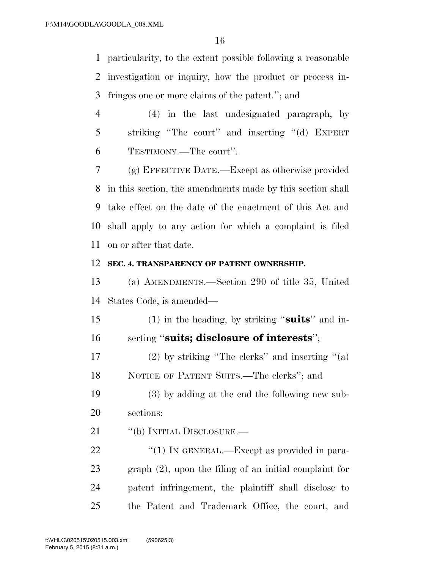particularity, to the extent possible following a reasonable investigation or inquiry, how the product or process in-fringes one or more claims of the patent.''; and

 (4) in the last undesignated paragraph, by striking ''The court'' and inserting ''(d) EXPERT TESTIMONY.—The court''.

 (g) EFFECTIVE DATE.—Except as otherwise provided in this section, the amendments made by this section shall take effect on the date of the enactment of this Act and shall apply to any action for which a complaint is filed on or after that date.

#### **SEC. 4. TRANSPARENCY OF PATENT OWNERSHIP.**

 (a) AMENDMENTS.—Section 290 of title 35, United States Code, is amended—

 (1) in the heading, by striking ''**suits**'' and in-serting ''**suits; disclosure of interests**'';

17 (2) by striking "The clerks" and inserting "(a) NOTICE OF PATENT SUITS.—The clerks''; and

 (3) by adding at the end the following new sub-sections:

21 "(b) INITIAL DISCLOSURE.—

22 "(1) IN GENERAL.—Except as provided in para- graph (2), upon the filing of an initial complaint for patent infringement, the plaintiff shall disclose to the Patent and Trademark Office, the court, and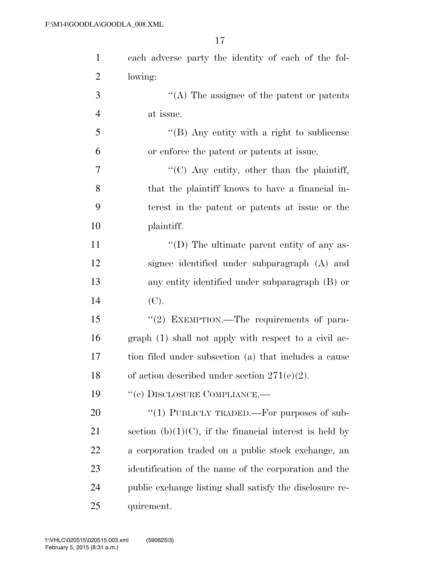| $\mathbf{1}$   | each adverse party the identity of each of the fol-         |
|----------------|-------------------------------------------------------------|
| $\overline{2}$ | lowing:                                                     |
| 3              | $\lq\lq$ . The assignee of the patent or patents            |
| $\overline{4}$ | at issue.                                                   |
| 5              | "(B) Any entity with a right to sublicense                  |
| 6              | or enforce the patent or patents at issue.                  |
| $\overline{7}$ | $\lq\lq$ C) Any entity, other than the plaintiff,           |
| 8              | that the plaintiff knows to have a financial in-            |
| 9              | terest in the patent or patents at issue or the             |
| 10             | plaintiff.                                                  |
| 11             | $\lq\lq$ (D) The ultimate parent entity of any as-          |
| 12             | signee identified under subparagraph (A) and                |
| 13             | any entity identified under subparagraph (B) or             |
| 14             | (C).                                                        |
| 15             | "(2) EXEMPTION.—The requirements of para-                   |
| 16             | graph (1) shall not apply with respect to a civil ac-       |
| 17             | tion filed under subsection (a) that includes a cause       |
| 18             | of action described under section $271(e)(2)$ .             |
| 19             | "(c) DISCLOSURE COMPLIANCE.—                                |
| 20             | "(1) PUBLICLY TRADED.—For purposes of sub-                  |
| 21             | section (b) $(1)(C)$ , if the financial interest is held by |
| 22             | a corporation traded on a public stock exchange, an         |
| 23             | identification of the name of the corporation and the       |
| 24             | public exchange listing shall satisfy the disclosure re-    |
| 25             | quirement.                                                  |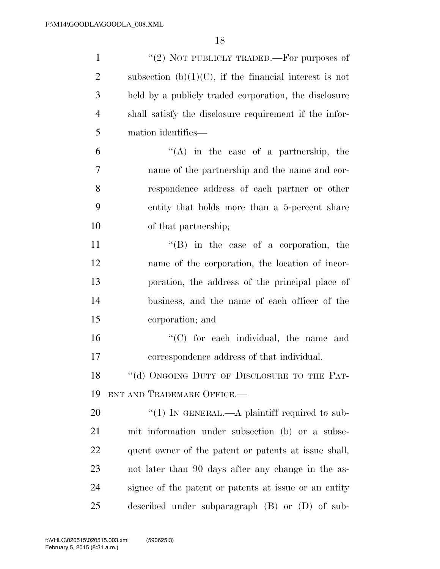| $\mathbf{1}$   | "(2) NOT PUBLICLY TRADED.—For purposes of                  |
|----------------|------------------------------------------------------------|
| $\overline{2}$ | subsection (b) $(1)(C)$ , if the financial interest is not |
| 3              | held by a publicly traded corporation, the disclosure      |
| 4              | shall satisfy the disclosure requirement if the infor-     |
| 5              | mation identifies—                                         |
| 6              | $\lq\lq$ in the case of a partnership, the                 |
| 7              | name of the partnership and the name and cor-              |
| 8              | respondence address of each partner or other               |
| 9              | entity that holds more than a 5-percent share              |
| 10             | of that partnership;                                       |
| 11             | $\lq\lq (B)$ in the case of a corporation, the             |
| 12             | name of the corporation, the location of incor-            |
| 13             | poration, the address of the principal place of            |
| 14             | business, and the name of each officer of the              |
| 15             | corporation; and                                           |
| 16             | "(C) for each individual, the name and                     |
| 17             | correspondence address of that individual.                 |
| 18             | "(d) ONGOING DUTY OF DISCLOSURE TO THE PAT-                |
| 19             | ENT AND TRADEMARK OFFICE.                                  |
| 20             | "(1) IN GENERAL.—A plaintiff required to sub-              |
| 21             | mit information under subsection (b) or a subse-           |
| 22             | quent owner of the patent or patents at issue shall,       |
| 23             | not later than 90 days after any change in the as-         |
| 24             | signee of the patent or patents at issue or an entity      |
| 25             | described under subparagraph $(B)$ or $(D)$ of sub-        |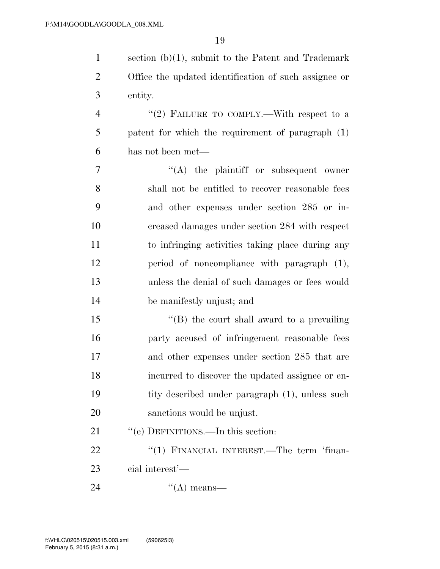| $\mathbf{1}$   | section $(b)(1)$ , submit to the Patent and Trademark |
|----------------|-------------------------------------------------------|
| $\overline{2}$ | Office the updated identification of such assignee or |
| 3              | entity.                                               |
| $\overline{4}$ | "(2) FAILURE TO COMPLY.—With respect to a             |
| 5              | patent for which the requirement of paragraph (1)     |
| 6              | has not been met—                                     |
| $\tau$         | $\lq\lq$ the plaintiff or subsequent owner            |
| 8              | shall not be entitled to recover reasonable fees      |
| 9              | and other expenses under section 285 or in-           |
| 10             | creased damages under section 284 with respect        |
| 11             | to infringing activities taking place during any      |
| 12             | period of noncompliance with paragraph (1),           |
| 13             | unless the denial of such damages or fees would       |
| 14             | be manifestly unjust; and                             |
| 15             | "(B) the court shall award to a prevailing            |
| 16             | party accused of infringement reasonable fees         |
| 17             | and other expenses under section 285 that are         |
| 18             | incurred to discover the updated assignee or en-      |
| 19             | tity described under paragraph (1), unless such       |
| 20             | sanctions would be unjust.                            |
| 21             | "(e) DEFINITIONS.—In this section:                    |
| 22             | "(1) FINANCIAL INTEREST.—The term 'finan-             |
| 23             | cial interest'—                                       |
| 24             | $\lq\lq$ means—                                       |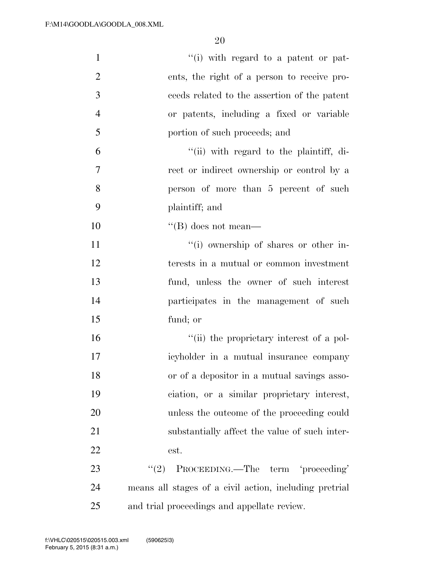| $\mathbf{1}$   | "(i) with regard to a patent or pat-                   |
|----------------|--------------------------------------------------------|
| $\overline{2}$ | ents, the right of a person to receive pro-            |
| 3              | ceeds related to the assertion of the patent           |
| $\overline{4}$ | or patents, including a fixed or variable              |
| 5              | portion of such proceeds; and                          |
| 6              | "(ii) with regard to the plaintiff, di-                |
| 7              | rect or indirect ownership or control by a             |
| 8              | person of more than 5 percent of such                  |
| 9              | plaintiff; and                                         |
| 10             | $\lq\lq (B)$ does not mean—                            |
| 11             | "(i) ownership of shares or other in-                  |
| 12             | terests in a mutual or common investment               |
| 13             | fund, unless the owner of such interest                |
| 14             | participates in the management of such                 |
| 15             | fund; or                                               |
| 16             | "(ii) the proprietary interest of a pol-               |
| 17             | icyholder in a mutual insurance company                |
| 18             | or of a depositor in a mutual savings asso-            |
| 19             | ciation, or a similar proprietary interest,            |
| 20             | unless the outcome of the proceeding could             |
| 21             | substantially affect the value of such inter-          |
| 22             | est.                                                   |
| 23             | PROCEEDING.—The term 'proceeding'<br>(2)               |
| 24             | means all stages of a civil action, including pretrial |
| 25             | and trial proceedings and appellate review.            |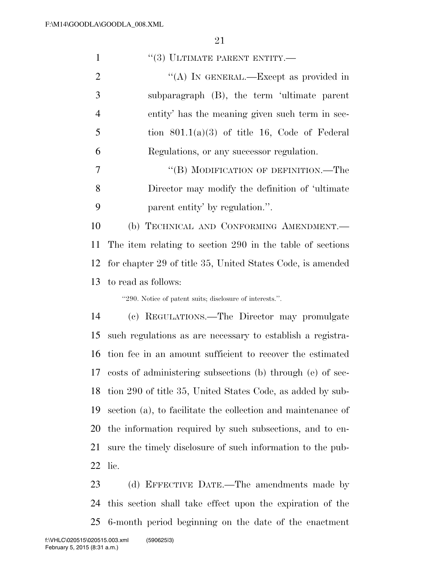| $\mathbf{1}$   | $``(3)$ ULTIMATE PARENT ENTITY.—                              |
|----------------|---------------------------------------------------------------|
| 2              | "(A) IN GENERAL.—Except as provided in                        |
| 3              | subparagraph $(B)$ , the term 'ultimate parent                |
| $\overline{4}$ | entity' has the meaning given such term in sec-               |
| 5              | tion $801.1(a)(3)$ of title 16, Code of Federal               |
| 6              | Regulations, or any successor regulation.                     |
| 7              | "(B) MODIFICATION OF DEFINITION.—The                          |
| 8              | Director may modify the definition of 'ultimate               |
| 9              | parent entity' by regulation.".                               |
| 10             | (b) TECHNICAL AND CONFORMING AMENDMENT.-                      |
| 11             | The item relating to section 290 in the table of sections     |
|                | 12 for chapter 29 of title 35, United States Code, is amended |

to read as follows:

''290. Notice of patent suits; disclosure of interests.''.

 (c) REGULATIONS.—The Director may promulgate such regulations as are necessary to establish a registra- tion fee in an amount sufficient to recover the estimated costs of administering subsections (b) through (e) of sec- tion 290 of title 35, United States Code, as added by sub- section (a), to facilitate the collection and maintenance of the information required by such subsections, and to en- sure the timely disclosure of such information to the pub-lic.

23 (d) EFFECTIVE DATE.—The amendments made by this section shall take effect upon the expiration of the 6-month period beginning on the date of the enactment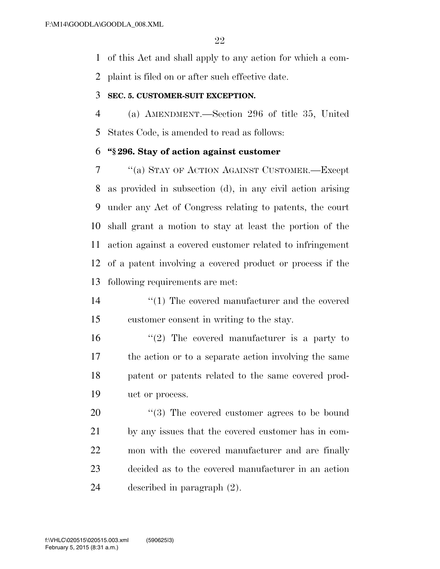of this Act and shall apply to any action for which a com-

plaint is filed on or after such effective date.

#### **SEC. 5. CUSTOMER-SUIT EXCEPTION.**

 (a) AMENDMENT.—Section 296 of title 35, United States Code, is amended to read as follows:

# **''§ 296. Stay of action against customer**

 ''(a) STAY OF ACTION AGAINST CUSTOMER.—Except as provided in subsection (d), in any civil action arising under any Act of Congress relating to patents, the court shall grant a motion to stay at least the portion of the action against a covered customer related to infringement of a patent involving a covered product or process if the following requirements are met:

- 14  $\frac{1}{2}$  (1) The covered manufacturer and the covered customer consent in writing to the stay.
- 16  $\frac{1}{2}$  The covered manufacturer is a party to the action or to a separate action involving the same patent or patents related to the same covered prod-uct or process.

 $\frac{1}{20}$  The covered customer agrees to be bound by any issues that the covered customer has in com- mon with the covered manufacturer and are finally decided as to the covered manufacturer in an action described in paragraph (2).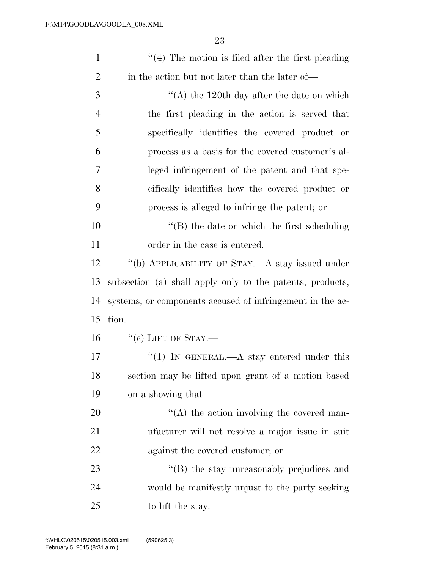| $\mathbf{1}$   | $\lq(4)$ The motion is filed after the first pleading     |
|----------------|-----------------------------------------------------------|
| $\overline{2}$ | in the action but not later than the later of—            |
| 3              | $\lq (A)$ the 120th day after the date on which           |
| $\overline{4}$ | the first pleading in the action is served that           |
| 5              | specifically identifies the covered product or            |
| 6              | process as a basis for the covered customer's al-         |
| 7              | leged infringement of the patent and that spe-            |
| 8              | cifically identifies how the covered product or           |
| 9              | process is alleged to infringe the patent; or             |
| 10             | $\lq\lq$ (B) the date on which the first scheduling       |
| 11             | order in the case is entered.                             |
| 12             | "(b) APPLICABILITY OF STAY.—A stay issued under           |
| 13             | subsection (a) shall apply only to the patents, products, |
| 14             | systems, or components accused of infringement in the ac- |
| 15             | tion.                                                     |
| 16             | $``(c)$ LIFT OF STAY.—                                    |
| 17             | "(1) IN GENERAL.—A stay entered under this                |
| 18             | section may be lifted upon grant of a motion based        |
| 19             | on a showing that—                                        |
| 20             | $\lq\lq$ the action involving the covered man-            |
| 21             | ufacturer will not resolve a major issue in suit          |
| 22             | against the covered customer; or                          |
| 23             | "(B) the stay unreasonably prejudices and                 |
| 24             | would be manifestly unjust to the party seeking           |
| 25             | to lift the stay.                                         |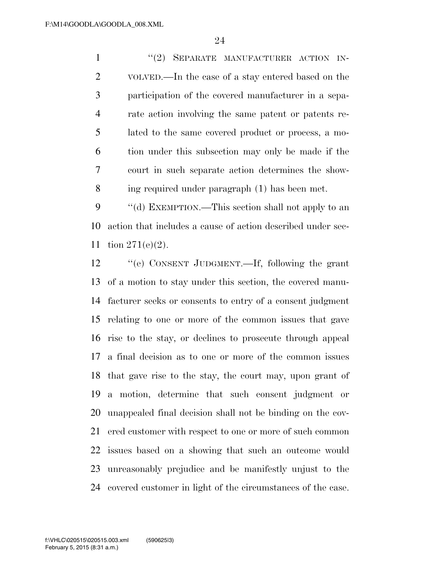1 ''(2) SEPARATE MANUFACTURER ACTION IN- VOLVED.—In the case of a stay entered based on the participation of the covered manufacturer in a sepa- rate action involving the same patent or patents re- lated to the same covered product or process, a mo- tion under this subsection may only be made if the court in such separate action determines the show-ing required under paragraph (1) has been met.

9 "(d) EXEMPTION.—This section shall not apply to an action that includes a cause of action described under sec-tion 271(e)(2).

 ''(e) CONSENT JUDGMENT.—If, following the grant of a motion to stay under this section, the covered manu- facturer seeks or consents to entry of a consent judgment relating to one or more of the common issues that gave rise to the stay, or declines to prosecute through appeal a final decision as to one or more of the common issues that gave rise to the stay, the court may, upon grant of a motion, determine that such consent judgment or unappealed final decision shall not be binding on the cov- ered customer with respect to one or more of such common issues based on a showing that such an outcome would unreasonably prejudice and be manifestly unjust to the covered customer in light of the circumstances of the case.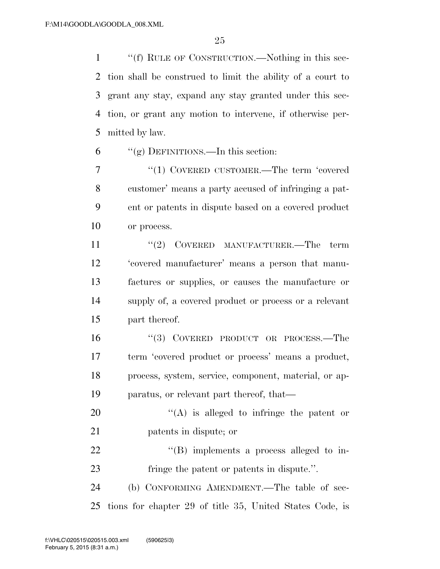1 ""(f) RULE OF CONSTRUCTION.—Nothing in this sec- tion shall be construed to limit the ability of a court to grant any stay, expand any stay granted under this sec- tion, or grant any motion to intervene, if otherwise per-mitted by law.

"(g) DEFINITIONS.—In this section:

7 "(1) COVERED CUSTOMER.—The term 'covered customer' means a party accused of infringing a pat- ent or patents in dispute based on a covered product or process.

11 ''(2) COVERED MANUFACTURER.—The term 'covered manufacturer' means a person that manu- factures or supplies, or causes the manufacture or supply of, a covered product or process or a relevant part thereof.

 ''(3) COVERED PRODUCT OR PROCESS.—The term 'covered product or process' means a product, process, system, service, component, material, or ap-paratus, or relevant part thereof, that—

20  $\langle (A)$  is alleged to infringe the patent or patents in dispute; or

22  $\text{``(B)}$  implements a process alleged to in-fringe the patent or patents in dispute.''.

 (b) CONFORMING AMENDMENT.—The table of sec-tions for chapter 29 of title 35, United States Code, is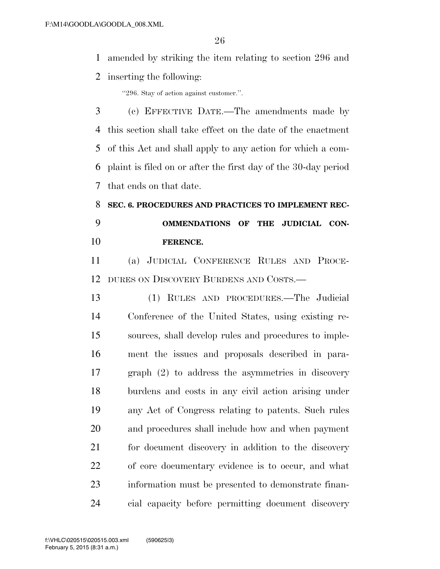amended by striking the item relating to section 296 and

inserting the following:

''296. Stay of action against customer.''.

 (c) EFFECTIVE DATE.—The amendments made by this section shall take effect on the date of the enactment of this Act and shall apply to any action for which a com- plaint is filed on or after the first day of the 30-day period that ends on that date.

# **SEC. 6. PROCEDURES AND PRACTICES TO IMPLEMENT REC- OMMENDATIONS OF THE JUDICIAL CON-FERENCE.**

 (a) JUDICIAL CONFERENCE RULES AND PROCE-DURES ON DISCOVERY BURDENS AND COSTS.—

 (1) RULES AND PROCEDURES.—The Judicial Conference of the United States, using existing re- sources, shall develop rules and procedures to imple- ment the issues and proposals described in para- graph (2) to address the asymmetries in discovery burdens and costs in any civil action arising under any Act of Congress relating to patents. Such rules and procedures shall include how and when payment for document discovery in addition to the discovery of core documentary evidence is to occur, and what information must be presented to demonstrate finan-cial capacity before permitting document discovery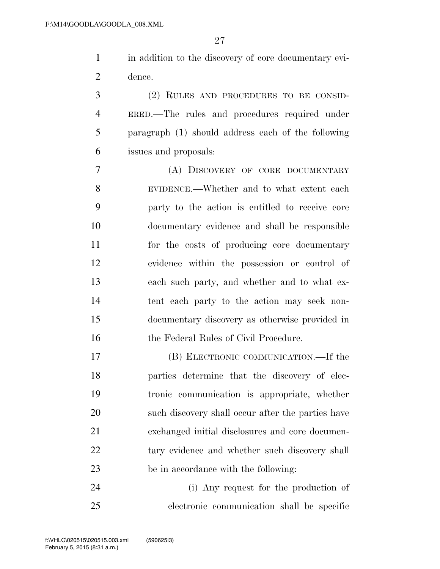in addition to the discovery of core documentary evi-dence.

 (2) RULES AND PROCEDURES TO BE CONSID- ERED.—The rules and procedures required under paragraph (1) should address each of the following issues and proposals:

 (A) DISCOVERY OF CORE DOCUMENTARY EVIDENCE.—Whether and to what extent each party to the action is entitled to receive core documentary evidence and shall be responsible for the costs of producing core documentary evidence within the possession or control of each such party, and whether and to what ex- tent each party to the action may seek non- documentary discovery as otherwise provided in the Federal Rules of Civil Procedure.

 (B) ELECTRONIC COMMUNICATION.—If the parties determine that the discovery of elec- tronic communication is appropriate, whether such discovery shall occur after the parties have exchanged initial disclosures and core documen-22 tary evidence and whether such discovery shall be in accordance with the following:

 (i) Any request for the production of electronic communication shall be specific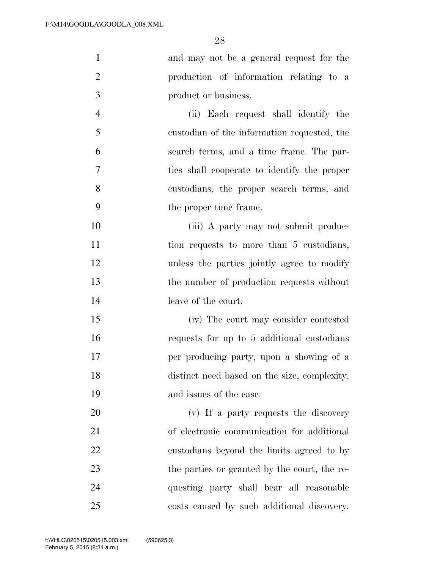| $\mathbf{1}$   | and may not be a general request for the     |
|----------------|----------------------------------------------|
| $\overline{2}$ | production of information relating to a      |
| 3              | product or business.                         |
| $\overline{4}$ | (ii) Each request shall identify the         |
| 5              | custodian of the information requested, the  |
| 6              | search terms, and a time frame. The par-     |
| $\tau$         | ties shall cooperate to identify the proper  |
| 8              | custodians, the proper search terms, and     |
| 9              | the proper time frame.                       |
| 10             | (iii) A party may not submit produc-         |
| 11             | tion requests to more than 5 custodians,     |
| 12             | unless the parties jointly agree to modify   |
| 13             | the number of production requests without    |
| 14             | leave of the court.                          |
| 15             | (iv) The court may consider contested        |
| 16             | requests for up to 5 additional custodians   |
| 17             | per producing party, upon a showing of a     |
| 18             | distinct need based on the size, complexity, |
| 19             | and issues of the case.                      |
| 20             | (v) If a party requests the discovery        |
| 21             | of electronic communication for additional   |
| 22             | custodians beyond the limits agreed to by    |
| 23             | the parties or granted by the court, the re- |
| 24             | questing party shall bear all reasonable     |
| 25             | costs caused by such additional discovery.   |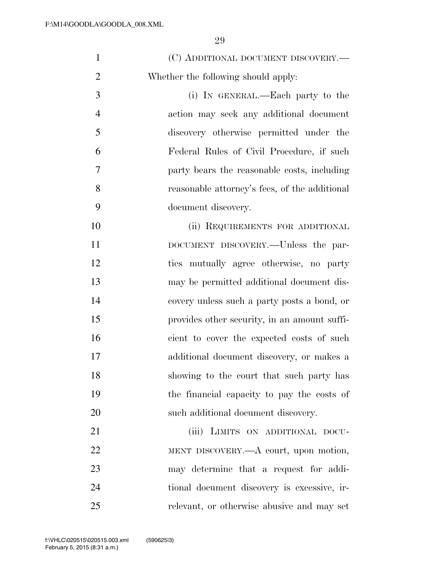| $\mathbf{1}$   | (C) ADDITIONAL DOCUMENT DISCOVERY.—           |
|----------------|-----------------------------------------------|
| $\overline{2}$ | Whether the following should apply:           |
| 3              | (i) IN GENERAL.—Each party to the             |
| $\overline{4}$ | action may seek any additional document       |
| 5              | discovery otherwise permitted under the       |
| 6              | Federal Rules of Civil Procedure, if such     |
| 7              | party bears the reasonable costs, including   |
| 8              | reasonable attorney's fees, of the additional |
| 9              | document discovery.                           |
| 10             | (ii) REQUIREMENTS FOR ADDITIONAL              |
| 11             | DOCUMENT DISCOVERY.--Unless the par-          |
| 12             | ties mutually agree otherwise, no party       |
| 13             | may be permitted additional document dis-     |
| 14             | covery unless such a party posts a bond, or   |
| 15             | provides other security, in an amount suffi-  |
| 16             | cient to cover the expected costs of such     |
| 17             | additional document discovery, or makes a     |
| 18             | showing to the court that such party has      |
| 19             | the financial capacity to pay the costs of    |
| 20             | such additional document discovery.           |
| 21             | (iii) LIMITS ON ADDITIONAL DOCU-              |
| 22             | MENT DISCOVERY.—A court, upon motion,         |
| 23             | may determine that a request for addi-        |
| 24             | tional document discovery is excessive, ir-   |
| 25             | relevant, or otherwise abusive and may set    |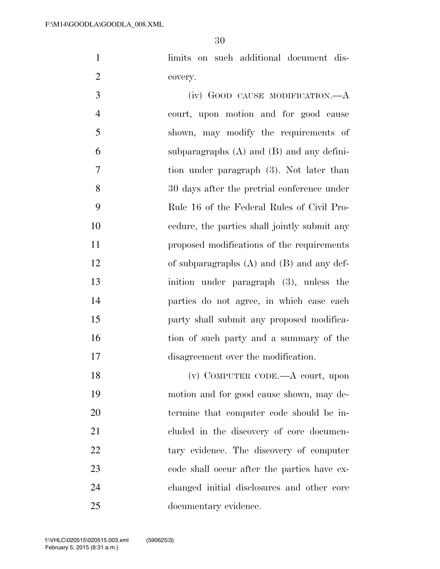limits on such additional document dis-covery.

 (iv) GOOD CAUSE MODIFICATION.—A court, upon motion and for good cause shown, may modify the requirements of subparagraphs (A) and (B) and any defini- tion under paragraph (3). Not later than 30 days after the pretrial conference under Rule 16 of the Federal Rules of Civil Pro- cedure, the parties shall jointly submit any proposed modifications of the requirements of subparagraphs (A) and (B) and any def- inition under paragraph (3), unless the parties do not agree, in which case each party shall submit any proposed modifica-16 tion of such party and a summary of the disagreement over the modification.

 (v) COMPUTER CODE.—A court, upon motion and for good cause shown, may de- termine that computer code should be in-21 cluded in the discovery of core documen-22 tary evidence. The discovery of computer 23 code shall occur after the parties have ex- changed initial disclosures and other core documentary evidence.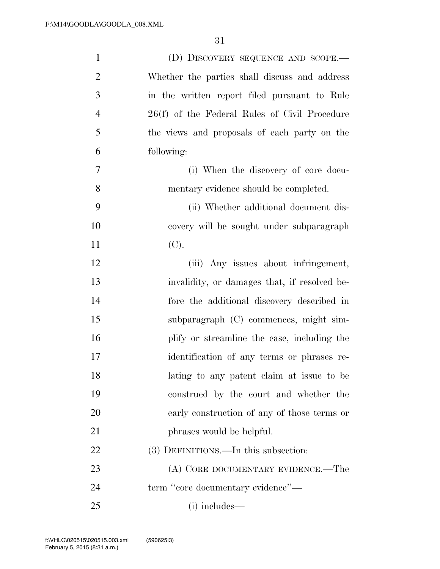| $\mathbf{1}$   | (D) DISCOVERY SEQUENCE AND SCOPE.—            |
|----------------|-----------------------------------------------|
| $\overline{c}$ | Whether the parties shall discuss and address |
| 3              | in the written report filed pursuant to Rule  |
| $\overline{4}$ | 26(f) of the Federal Rules of Civil Procedure |
| 5              | the views and proposals of each party on the  |
| 6              | following:                                    |
| 7              | (i) When the discovery of core docu-          |
| 8              | mentary evidence should be completed.         |
| 9              | (ii) Whether additional document dis-         |
| 10             | covery will be sought under subparagraph      |
| 11             | (C).                                          |
| 12             | (iii) Any issues about infringement,          |
| 13             | invalidity, or damages that, if resolved be-  |
| 14             | fore the additional discovery described in    |
| 15             | subparagraph (C) commences, might sim-        |
| 16             | plify or streamline the case, including the   |
| 17             | identification of any terms or phrases re-    |
| 18             | lating to any patent claim at issue to be     |
| 19             | construed by the court and whether the        |
| 20             | early construction of any of those terms or   |
| 21             | phrases would be helpful.                     |
| 22             | (3) DEFINITIONS.—In this subsection:          |
| 23             | (A) CORE DOCUMENTARY EVIDENCE.—The            |
| 24             | term "core documentary evidence"-             |
| 25             | (i) includes—                                 |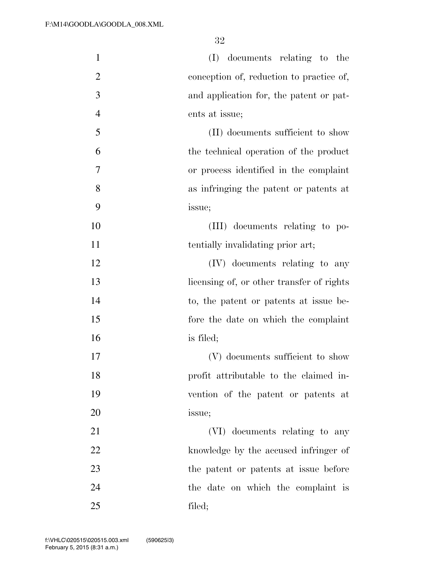| $\mathbf{1}$   | (I) documents relating to the             |
|----------------|-------------------------------------------|
| $\overline{2}$ | conception of, reduction to practice of,  |
| 3              | and application for, the patent or pat-   |
| $\overline{4}$ | ents at issue;                            |
| 5              | (II) documents sufficient to show         |
| 6              | the technical operation of the product    |
| 7              | or process identified in the complaint    |
| 8              | as infringing the patent or patents at    |
| 9              | issue;                                    |
| 10             | (III) documents relating to po-           |
| 11             | tentially invalidating prior art;         |
| 12             | (IV) documents relating to any            |
| 13             | licensing of, or other transfer of rights |
| 14             | to, the patent or patents at issue be-    |
| 15             | fore the date on which the complaint      |
| 16             | is filed;                                 |
| 17             | (V) documents sufficient to show          |
| 18             | profit attributable to the claimed in-    |
| 19             | vention of the patent or patents at       |
| 20             | issue;                                    |
| 21             | (VI) documents relating to any            |
| 22             | knowledge by the accused infringer of     |
| 23             | the patent or patents at issue before     |
| 24             | the date on which the complaint is        |
| 25             | filed;                                    |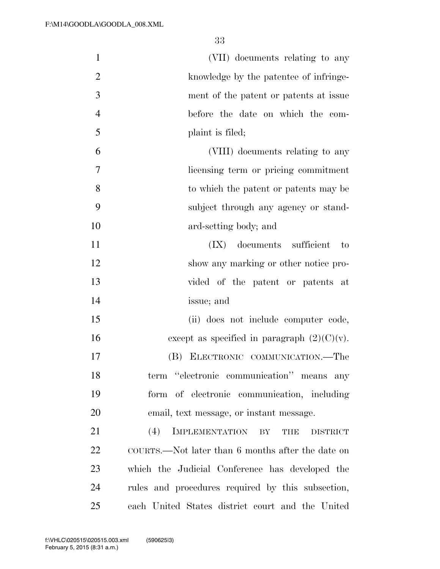(VII) documents relating to any knowledge by the patentee of infringe- ment of the patent or patents at issue before the date on which the com- plaint is filed; (VIII) documents relating to any licensing term or pricing commitment to which the patent or patents may be subject through any agency or stand- ard-setting body; and (IX) documents sufficient to show any marking or other notice pro- vided of the patent or patents at issue; and (ii) does not include computer code, 16 except as specified in paragraph  $(2)(C)(v)$ . (B) ELECTRONIC COMMUNICATION.—The term ''electronic communication'' means any form of electronic communication, including email, text message, or instant message. 21 (4) IMPLEMENTATION BY THE DISTRICT COURTS.—Not later than 6 months after the date on which the Judicial Conference has developed the rules and procedures required by this subsection, each United States district court and the United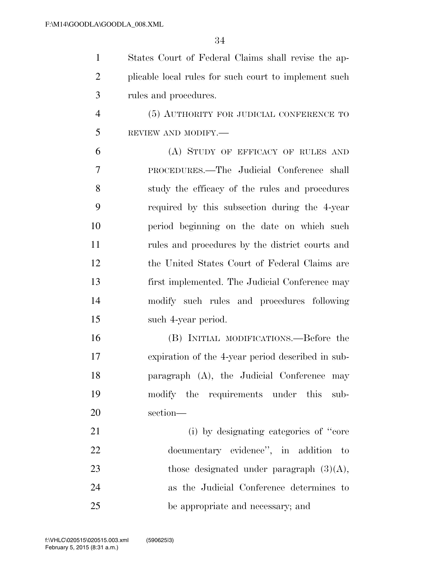| $\mathbf{1}$   | States Court of Federal Claims shall revise the ap-   |
|----------------|-------------------------------------------------------|
| $\overline{2}$ | plicable local rules for such court to implement such |
| 3              | rules and procedures.                                 |
| $\overline{4}$ | (5) AUTHORITY FOR JUDICIAL CONFERENCE TO              |
| 5              | REVIEW AND MODIFY.-                                   |
| 6              | (A) STUDY OF EFFICACY OF RULES AND                    |
| 7              | PROCEDURES.—The Judicial Conference shall             |
| 8              | study the efficacy of the rules and procedures        |
| 9              | required by this subsection during the 4-year         |
| 10             | period beginning on the date on which such            |
| 11             | rules and procedures by the district courts and       |
| 12             | the United States Court of Federal Claims are         |
| 13             | first implemented. The Judicial Conference may        |
| 14             | modify such rules and procedures following            |
| 15             | such 4-year period.                                   |
| 16             | (B) INITIAL MODIFICATIONS.—Before the                 |
| 17             | expiration of the 4-year period described in sub-     |
| 18             | paragraph (A), the Judicial Conference may            |
| 19             | modify the requirements under this sub-               |
| 20             | section-                                              |
| 21             | (i) by designating categories of "core"               |
| 22             | documentary evidence", in addition to                 |
| 23             | those designated under paragraph $(3)(A)$ ,           |
| 24             | as the Judicial Conference determines to              |
| 25             | be appropriate and necessary; and                     |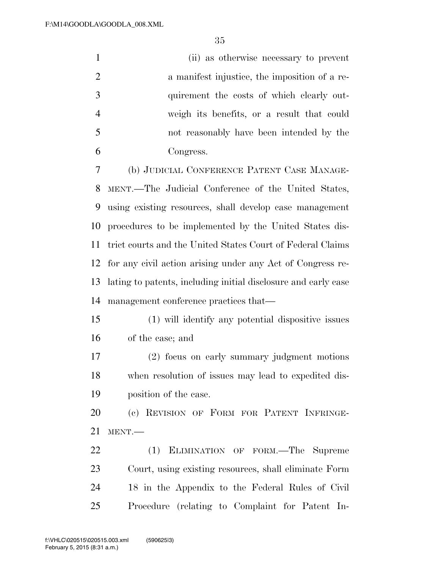|    | (ii) as otherwise necessary to prevent        |
|----|-----------------------------------------------|
|    | a manifest injustice, the imposition of a re- |
| 3  | quirement the costs of which clearly out-     |
|    | weigh its benefits, or a result that could    |
| -5 | not reasonably have been intended by the      |
|    | Congress.                                     |
|    |                                               |

 (b) JUDICIAL CONFERENCE PATENT CASE MANAGE- MENT.—The Judicial Conference of the United States, using existing resources, shall develop case management procedures to be implemented by the United States dis- trict courts and the United States Court of Federal Claims for any civil action arising under any Act of Congress re- lating to patents, including initial disclosure and early case management conference practices that—

- (1) will identify any potential dispositive issues of the case; and
- (2) focus on early summary judgment motions when resolution of issues may lead to expedited dis-position of the case.

 (c) REVISION OF FORM FOR PATENT INFRINGE-MENT.—

 (1) ELIMINATION OF FORM.—The Supreme Court, using existing resources, shall eliminate Form 18 in the Appendix to the Federal Rules of Civil Procedure (relating to Complaint for Patent In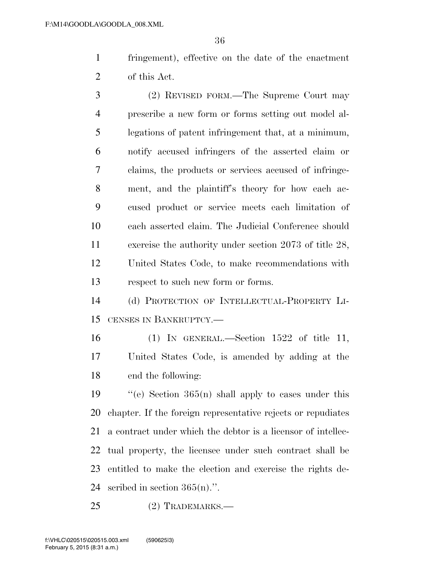fringement), effective on the date of the enactment of this Act.

 (2) REVISED FORM.—The Supreme Court may prescribe a new form or forms setting out model al- legations of patent infringement that, at a minimum, notify accused infringers of the asserted claim or claims, the products or services accused of infringe- ment, and the plaintiff's theory for how each ac- cused product or service meets each limitation of each asserted claim. The Judicial Conference should exercise the authority under section 2073 of title 28, United States Code, to make recommendations with respect to such new form or forms.

 (d) PROTECTION OF INTELLECTUAL-PROPERTY LI-CENSES IN BANKRUPTCY.—

 (1) IN GENERAL.—Section 1522 of title 11, United States Code, is amended by adding at the end the following:

 $\cdot$  "(e) Section 365(n) shall apply to cases under this chapter. If the foreign representative rejects or repudiates a contract under which the debtor is a licensor of intellec- tual property, the licensee under such contract shall be entitled to make the election and exercise the rights de-24 scribed in section  $365(n)$ .".

(2) TRADEMARKS.—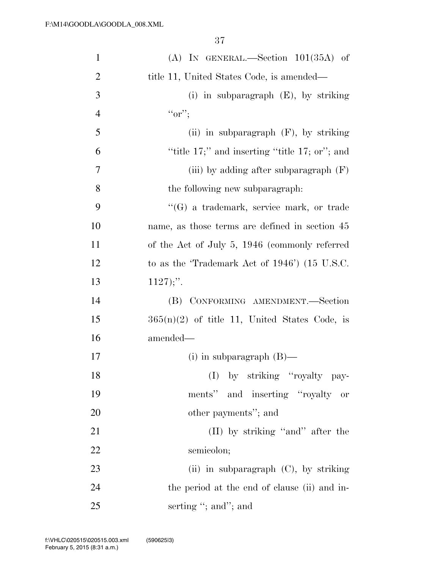| $\mathbf{1}$   | $(A)$ IN GENERAL.—Section $101(35A)$ of             |
|----------------|-----------------------------------------------------|
| $\overline{2}$ | title 11, United States Code, is amended—           |
| 3              | (i) in subparagraph $(E)$ , by striking             |
| $\overline{4}$ | $``or$ ";                                           |
| 5              | (ii) in subparagraph $(F)$ , by striking            |
| 6              | "title $17$ ;" and inserting "title $17$ ; or"; and |
| 7              | (iii) by adding after subparagraph $(F)$            |
| 8              | the following new subparagraph:                     |
| 9              | $\lq\lq(G)$ a trademark, service mark, or trade     |
| 10             | name, as those terms are defined in section 45      |
| 11             | of the Act of July 5, 1946 (commonly referred       |
| 12             | to as the 'Trademark Act of 1946') (15 U.S.C.       |
| 13             | $1127$ ;".                                          |
| 14             | CONFORMING AMENDMENT.-Section<br>(B)                |
| 15             | $365(n)(2)$ of title 11, United States Code, is     |
| 16             | amended—                                            |
| 17             | (i) in subparagraph $(B)$ —                         |
| 18             | (I) by striking "royalty pay-                       |
| 19             | ments" and inserting "royalty"<br>or                |
| 20             | other payments"; and                                |
| 21             | (II) by striking "and" after the                    |
| 22             | semicolon;                                          |
| 23             | (ii) in subparagraph $(C)$ , by striking            |
| 24             | the period at the end of clause (ii) and in-        |
| 25             | serting "; and"; and                                |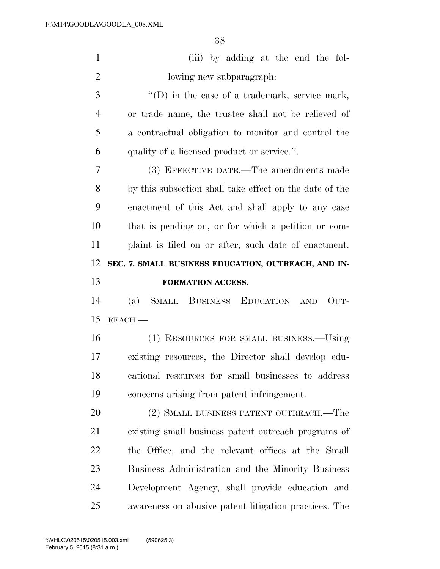| $\mathbf{1}$   | (iii) by adding at the end the fol-                     |
|----------------|---------------------------------------------------------|
| $\overline{2}$ | lowing new subparagraph.                                |
| 3              | $\lq\lq$ (D) in the case of a trademark, service mark,  |
| 4              | or trade name, the trustee shall not be relieved of     |
| 5              | a contractual obligation to monitor and control the     |
| 6              | quality of a licensed product or service.".             |
| 7              | (3) EFFECTIVE DATE.—The amendments made                 |
| 8              | by this subsection shall take effect on the date of the |
| 9              | enactment of this Act and shall apply to any case       |
| 10             | that is pending on, or for which a petition or com-     |
| 11             | plaint is filed on or after, such date of enactment.    |
| 12             | SEC. 7. SMALL BUSINESS EDUCATION, OUTREACH, AND IN-     |
|                |                                                         |
| 13             | FORMATION ACCESS.                                       |
| 14             | SMALL BUSINESS EDUCATION AND<br>OUT-<br>(a)             |
| 15             | REACH.                                                  |
| 16             | (1) RESOURCES FOR SMALL BUSINESS.—Using                 |
| 17             | existing resources, the Director shall develop edu-     |
| 18             | cational resources for small businesses to address      |
| 19             | concerns arising from patent infringement.              |
| 20             | (2) SMALL BUSINESS PATENT OUTREACH.—The                 |
| 21             | existing small business patent outreach programs of     |
| 22             | the Office, and the relevant offices at the Small       |
| 23             | Business Administration and the Minority Business       |
| 24             | Development Agency, shall provide education and         |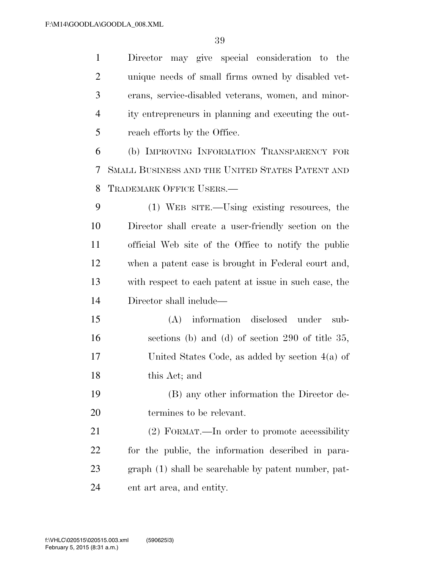Director may give special consideration to the unique needs of small firms owned by disabled vet- erans, service-disabled veterans, women, and minor- ity entrepreneurs in planning and executing the out- reach efforts by the Office. (b) IMPROVING INFORMATION TRANSPARENCY FOR SMALL BUSINESS AND THE UNITED STATES PATENT AND TRADEMARK OFFICE USERS.— (1) WEB SITE.—Using existing resources, the Director shall create a user-friendly section on the official Web site of the Office to notify the public when a patent case is brought in Federal court and, with respect to each patent at issue in such case, the Director shall include— (A) information disclosed under sub- sections (b) and (d) of section 290 of title 35, United States Code, as added by section 4(a) of this Act; and (B) any other information the Director de- termines to be relevant. (2) FORMAT.—In order to promote accessibility for the public, the information described in para- graph (1) shall be searchable by patent number, pat-ent art area, and entity.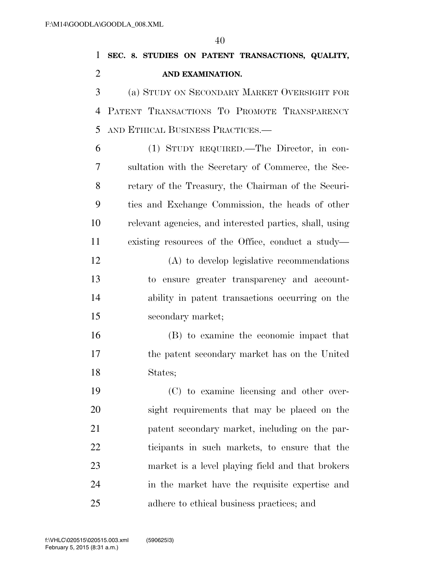|               |                |  |                  | 1 SEC. 8. STUDIES ON PATENT TRANSACTIONS, QUALITY, |  |
|---------------|----------------|--|------------------|----------------------------------------------------|--|
| $\mathcal{L}$ |                |  | AND EXAMINATION. |                                                    |  |
|               | $\overline{3}$ |  |                  | (a) STUDY ON SECONDARY MARKET OVERSIGHT FOR        |  |
|               |                |  |                  |                                                    |  |

 PATENT TRANSACTIONS TO PROMOTE TRANSPARENCY AND ETHICAL BUSINESS PRACTICES.—

 (1) STUDY REQUIRED.—The Director, in con- sultation with the Secretary of Commerce, the Sec- retary of the Treasury, the Chairman of the Securi- ties and Exchange Commission, the heads of other relevant agencies, and interested parties, shall, using existing resources of the Office, conduct a study— (A) to develop legislative recommendations to ensure greater transparency and account- ability in patent transactions occurring on the secondary market;

 (B) to examine the economic impact that the patent secondary market has on the United States;

 (C) to examine licensing and other over- sight requirements that may be placed on the patent secondary market, including on the par- ticipants in such markets, to ensure that the market is a level playing field and that brokers in the market have the requisite expertise and adhere to ethical business practices; and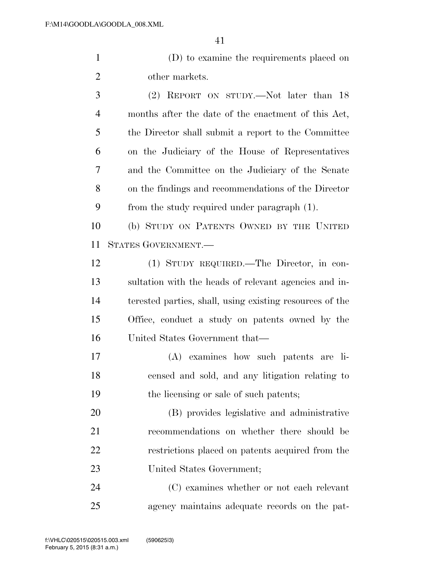(D) to examine the requirements placed on other markets.

 (2) REPORT ON STUDY.—Not later than 18 months after the date of the enactment of this Act, the Director shall submit a report to the Committee on the Judiciary of the House of Representatives and the Committee on the Judiciary of the Senate on the findings and recommendations of the Director from the study required under paragraph (1).

 (b) STUDY ON PATENTS OWNED BY THE UNITED STATES GOVERNMENT.—

 (1) STUDY REQUIRED.—The Director, in con- sultation with the heads of relevant agencies and in- terested parties, shall, using existing resources of the Office, conduct a study on patents owned by the United States Government that—

 (A) examines how such patents are li- censed and sold, and any litigation relating to the licensing or sale of such patents;

 (B) provides legislative and administrative recommendations on whether there should be restrictions placed on patents acquired from the United States Government;

 (C) examines whether or not each relevant agency maintains adequate records on the pat-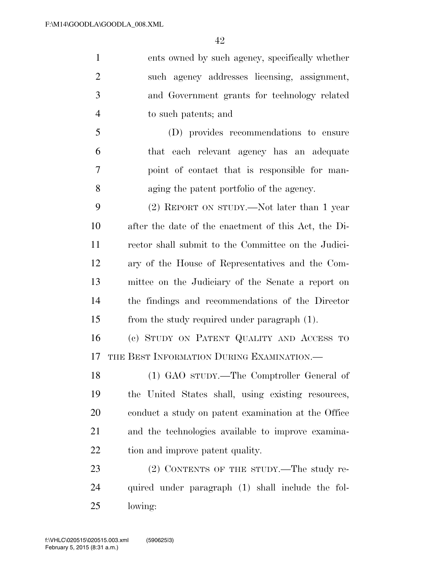ents owned by such agency, specifically whether such agency addresses licensing, assignment, and Government grants for technology related to such patents; and (D) provides recommendations to ensure that each relevant agency has an adequate point of contact that is responsible for man- aging the patent portfolio of the agency. (2) REPORT ON STUDY.—Not later than 1 year after the date of the enactment of this Act, the Di- rector shall submit to the Committee on the Judici- ary of the House of Representatives and the Com- mittee on the Judiciary of the Senate a report on the findings and recommendations of the Director from the study required under paragraph (1). (c) STUDY ON PATENT QUALITY AND ACCESS TO THE BEST INFORMATION DURING EXAMINATION.— (1) GAO STUDY.—The Comptroller General of the United States shall, using existing resources, conduct a study on patent examination at the Office and the technologies available to improve examina-22 tion and improve patent quality. 23 (2) CONTENTS OF THE STUDY.—The study re-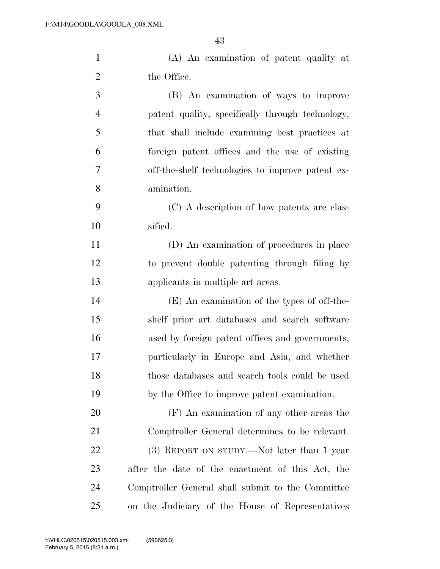(A) An examination of patent quality at

| $\overline{2}$ | the Office.                                       |
|----------------|---------------------------------------------------|
| 3              | (B) An examination of ways to improve             |
| $\overline{4}$ | patent quality, specifically through technology,  |
| 5              | that shall include examining best practices at    |
| 6              | foreign patent offices and the use of existing    |
| 7              | off-the-shelf technologies to improve patent ex-  |
| 8              | amination.                                        |
| 9              | (C) A description of how patents are clas-        |
| 10             | sified.                                           |
| 11             | (D) An examination of procedures in place         |
| 12             | to prevent double patenting through filing by     |
| 13             | applicants in multiple art areas.                 |
| 14             | (E) An examination of the types of off-the-       |
| 15             | shelf prior art databases and search software     |
| 16             | used by foreign patent offices and governments,   |
| 17             | particularly in Europe and Asia, and whether      |
| 18             | those databases and search tools could be used    |
| 19             | by the Office to improve patent examination.      |
| 20             | (F) An examination of any other areas the         |
| 21             | Comptroller General determines to be relevant.    |
| 22             | (3) REPORT ON STUDY.—Not later than 1 year        |
| 23             | after the date of the enactment of this Act, the  |
| 24             | Comptroller General shall submit to the Committee |

on the Judiciary of the House of Representatives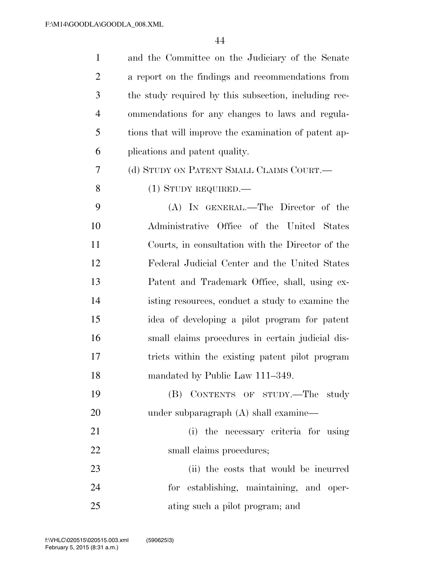| $\mathbf{1}$   | and the Committee on the Judiciary of the Senate      |
|----------------|-------------------------------------------------------|
| 2              | a report on the findings and recommendations from     |
| 3              | the study required by this subsection, including rec- |
| $\overline{4}$ | ommendations for any changes to laws and regula-      |
| 5              | tions that will improve the examination of patent ap- |
| 6              | plications and patent quality.                        |
| 7              | (d) STUDY ON PATENT SMALL CLAIMS COURT.—              |
| 8              | $(1)$ STUDY REQUIRED.—                                |
| 9              | (A) IN GENERAL.—The Director of the                   |
| 10             | Administrative Office of the United States            |
| 11             | Courts, in consultation with the Director of the      |
| 12             | Federal Judicial Center and the United States         |
| 13             | Patent and Trademark Office, shall, using ex-         |
| 14             | isting resources, conduct a study to examine the      |
| 15             | idea of developing a pilot program for patent         |
| 16             | small claims procedures in certain judicial dis-      |
| 17             | tricts within the existing patent pilot program       |
| 18             | mandated by Public Law 111-349.                       |
| 19             | (B) CONTENTS OF STUDY.—The study                      |
| 20             | under subparagraph $(A)$ shall examine—               |
| 21             | (i) the necessary criteria for using                  |
| 22             | small claims procedures;                              |
| 23             | (ii) the costs that would be incurred                 |
| 24             | for establishing, maintaining, and oper-              |
| 25             | ating such a pilot program; and                       |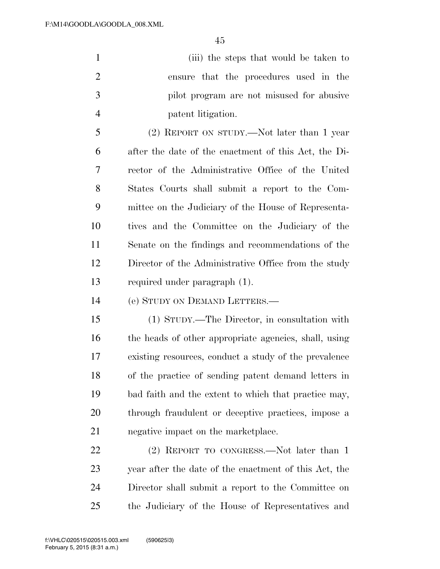(iii) the steps that would be taken to ensure that the procedures used in the pilot program are not misused for abusive patent litigation.

 (2) REPORT ON STUDY.—Not later than 1 year after the date of the enactment of this Act, the Di- rector of the Administrative Office of the United States Courts shall submit a report to the Com- mittee on the Judiciary of the House of Representa- tives and the Committee on the Judiciary of the Senate on the findings and recommendations of the Director of the Administrative Office from the study required under paragraph (1).

(e) STUDY ON DEMAND LETTERS.—

 (1) STUDY.—The Director, in consultation with the heads of other appropriate agencies, shall, using existing resources, conduct a study of the prevalence of the practice of sending patent demand letters in bad faith and the extent to which that practice may, through fraudulent or deceptive practices, impose a negative impact on the marketplace.

22 (2) REPORT TO CONGRESS. Not later than 1 year after the date of the enactment of this Act, the Director shall submit a report to the Committee on the Judiciary of the House of Representatives and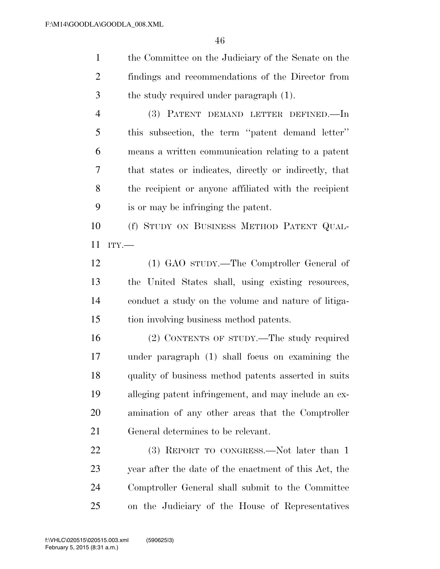the Committee on the Judiciary of the Senate on the findings and recommendations of the Director from the study required under paragraph (1).

 (3) PATENT DEMAND LETTER DEFINED.—In this subsection, the term ''patent demand letter'' means a written communication relating to a patent that states or indicates, directly or indirectly, that the recipient or anyone affiliated with the recipient is or may be infringing the patent.

 (f) STUDY ON BUSINESS METHOD PATENT QUAL-ITY.—

 (1) GAO STUDY.—The Comptroller General of the United States shall, using existing resources, conduct a study on the volume and nature of litiga-tion involving business method patents.

 (2) CONTENTS OF STUDY.—The study required under paragraph (1) shall focus on examining the quality of business method patents asserted in suits alleging patent infringement, and may include an ex- amination of any other areas that the Comptroller General determines to be relevant.

22 (3) REPORT TO CONGRESS.—Not later than 1 year after the date of the enactment of this Act, the Comptroller General shall submit to the Committee on the Judiciary of the House of Representatives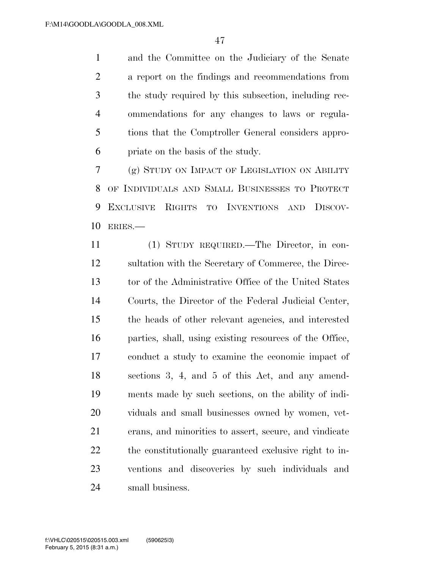and the Committee on the Judiciary of the Senate a report on the findings and recommendations from the study required by this subsection, including rec- ommendations for any changes to laws or regula- tions that the Comptroller General considers appro-priate on the basis of the study.

 (g) STUDY ON IMPACT OF LEGISLATION ON ABILITY OF INDIVIDUALS AND SMALL BUSINESSES TO PROTECT EXCLUSIVE RIGHTS TO INVENTIONS AND DISCOV-ERIES.—

 (1) STUDY REQUIRED.—The Director, in con- sultation with the Secretary of Commerce, the Direc- tor of the Administrative Office of the United States Courts, the Director of the Federal Judicial Center, the heads of other relevant agencies, and interested parties, shall, using existing resources of the Office, conduct a study to examine the economic impact of sections 3, 4, and 5 of this Act, and any amend- ments made by such sections, on the ability of indi- viduals and small businesses owned by women, vet- erans, and minorities to assert, secure, and vindicate the constitutionally guaranteed exclusive right to in- ventions and discoveries by such individuals and small business.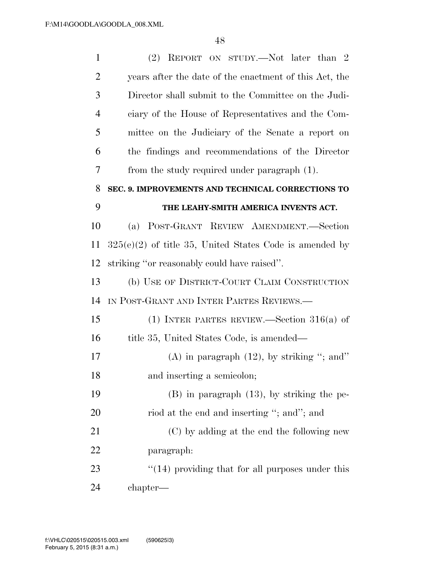| $\mathbf{1}$   | (2) REPORT ON STUDY.—Not later than 2                     |
|----------------|-----------------------------------------------------------|
| $\overline{2}$ | years after the date of the enactment of this Act, the    |
| 3              | Director shall submit to the Committee on the Judi-       |
| $\overline{4}$ | ciary of the House of Representatives and the Com-        |
| 5              | mittee on the Judiciary of the Senate a report on         |
| 6              | the findings and recommendations of the Director          |
| 7              | from the study required under paragraph (1).              |
| 8              | SEC. 9. IMPROVEMENTS AND TECHNICAL CORRECTIONS TO         |
| 9              | THE LEAHY-SMITH AMERICA INVENTS ACT.                      |
| 10             | POST-GRANT REVIEW AMENDMENT.-Section<br>(a)               |
| 11             | $325(e)(2)$ of title 35, United States Code is amended by |
| 12             | striking "or reasonably could have raised".               |
| 13             | (b) USE OF DISTRICT-COURT CLAIM CONSTRUCTION              |
| 14             | IN POST-GRANT AND INTER PARTES REVIEWS.—                  |
| 15             | (1) INTER PARTES REVIEW.—Section $316(a)$ of              |
| 16             | title 35, United States Code, is amended—                 |
| 17             | (A) in paragraph $(12)$ , by striking "; and"             |
| 18             | and inserting a semicolon;                                |
| 19             | $(B)$ in paragraph $(13)$ , by striking the pe-           |
| 20             | riod at the end and inserting "; and"; and                |
| 21             | (C) by adding at the end the following new                |
| 22             | paragraph:                                                |
| 23             | $\cdot$ (14) providing that for all purposes under this   |
| 24             | chapter—                                                  |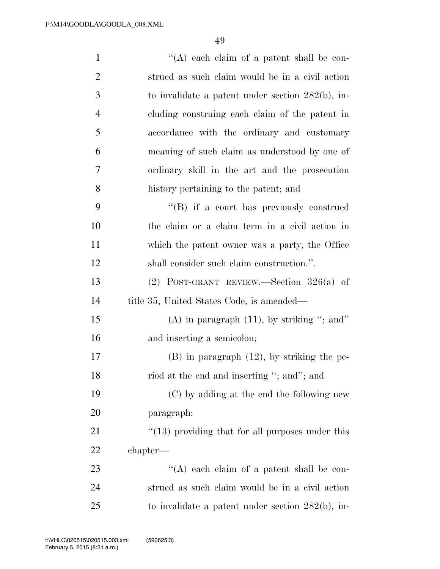| $\mathbf{1}$   | "(A) each claim of a patent shall be con-               |
|----------------|---------------------------------------------------------|
| $\overline{2}$ | strued as such claim would be in a civil action         |
| 3              | to invalidate a patent under section $282(b)$ , in-     |
| $\overline{4}$ | cluding construing each claim of the patent in          |
| 5              | accordance with the ordinary and customary              |
| 6              | meaning of such claim as understood by one of           |
| 7              | ordinary skill in the art and the prosecution           |
| 8              | history pertaining to the patent; and                   |
| 9              | $\lq\lq (B)$ if a court has previously construed        |
| 10             | the claim or a claim term in a civil action in          |
| 11             | which the patent owner was a party, the Office          |
| 12             | shall consider such claim construction.".               |
| 13             | $(2)$ POST-GRANT REVIEW.—Section 326(a) of              |
| 14             | title 35, United States Code, is amended—               |
| 15             | (A) in paragraph $(11)$ , by striking "; and"           |
| 16             | and inserting a semicolon;                              |
| 17             | $(B)$ in paragraph $(12)$ , by striking the pe-         |
| 18             | riod at the end and inserting "; and"; and              |
| 19             | (C) by adding at the end the following new              |
| 20             | paragraph:                                              |
| 21             | $\cdot$ (13) providing that for all purposes under this |
| 22             | chapter—                                                |
| 23             | $\lq\lq$ each claim of a patent shall be con-           |
| 24             | strued as such claim would be in a civil action         |
| 25             | to invalidate a patent under section $282(b)$ , in-     |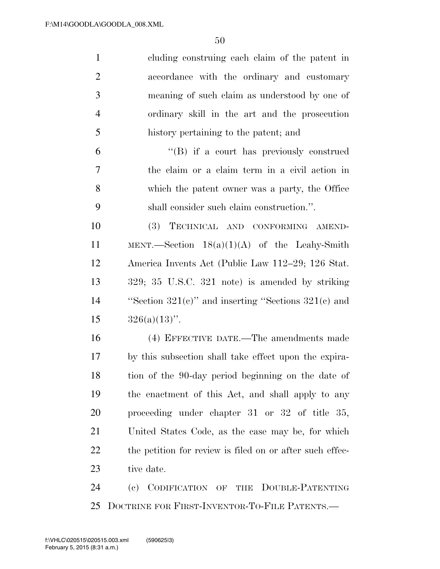| $\mathbf{1}$   | cluding construing each claim of the patent in                    |
|----------------|-------------------------------------------------------------------|
| $\overline{2}$ | accordance with the ordinary and customary                        |
| 3              | meaning of such claim as understood by one of                     |
| $\overline{4}$ | ordinary skill in the art and the prosecution                     |
| 5              | history pertaining to the patent; and                             |
| 6              | $\lq\lq (B)$ if a court has previously construed                  |
| 7              | the claim or a claim term in a civil action in                    |
| 8              | which the patent owner was a party, the Office                    |
| 9              | shall consider such claim construction.".                         |
| 10             | (3) TECHNICAL AND CONFORMING AMEND-                               |
| 11             | MENT.—Section $18(a)(1)(A)$ of the Leahy-Smith                    |
| 12             | America Invents Act (Public Law 112–29; 126 Stat.                 |
| 13             | $329; 35 \text{ U.S.C. } 321 \text{ note}$ is amended by striking |
| 14             | "Section $321(e)$ " and inserting "Sections $321(e)$ and          |
| 15             | $326(a)(13)$ ".                                                   |
| 16             | (4) EFFECTIVE DATE.—The amendments made                           |
| 17             | by this subsection shall take effect upon the expira-             |
| 18             | tion of the 90-day period beginning on the date of                |
| 19             | the enactment of this Act, and shall apply to any                 |
| 20             | proceeding under chapter $31$ or $32$ of title $35$ ,             |
| 21             | United States Code, as the case may be, for which                 |
| 22             | the petition for review is filed on or after such effec-          |
| 23             | tive date.                                                        |
| 24             | DOUBLE-PATENTING<br>(e)<br>CODIFICATION<br>OF<br>THE              |

DOCTRINE FOR FIRST-INVENTOR-TO-FILE PATENTS.—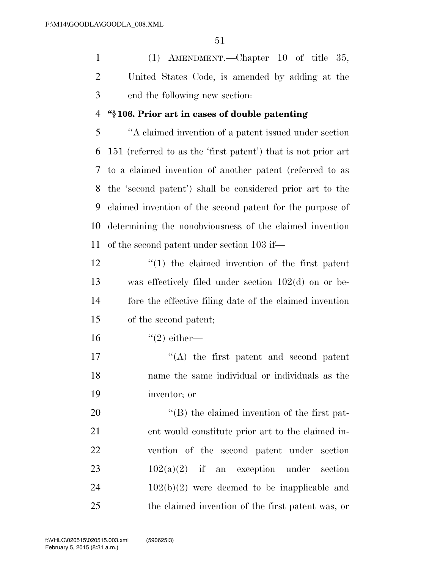(1) AMENDMENT.—Chapter 10 of title 35, United States Code, is amended by adding at the end the following new section:

## **''§ 106. Prior art in cases of double patenting**

 ''A claimed invention of a patent issued under section 151 (referred to as the 'first patent') that is not prior art to a claimed invention of another patent (referred to as the 'second patent') shall be considered prior art to the claimed invention of the second patent for the purpose of determining the nonobviousness of the claimed invention of the second patent under section 103 if—

 ''(1) the claimed invention of the first patent was effectively filed under section 102(d) on or be- fore the effective filing date of the claimed invention of the second patent;

16  $(2)$  either—

17  $\langle (A)$  the first patent and second patent name the same individual or individuals as the inventor; or

 $\langle$  (B) the claimed invention of the first pat- ent would constitute prior art to the claimed in- vention of the second patent under section  $102(a)(2)$  if an exception under section  $24 \t 102(b)(2)$  were deemed to be inapplicable and the claimed invention of the first patent was, or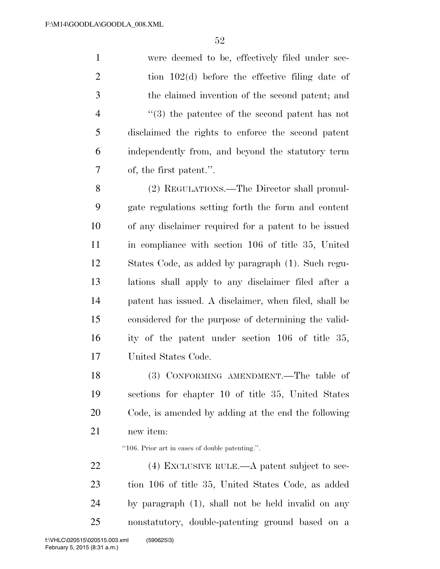were deemed to be, effectively filed under sec-2 tion 102(d) before the effective filing date of the claimed invention of the second patent; and ''(3) the patentee of the second patent has not disclaimed the rights to enforce the second patent independently from, and beyond the statutory term of, the first patent.''.

 (2) REGULATIONS.—The Director shall promul- gate regulations setting forth the form and content of any disclaimer required for a patent to be issued in compliance with section 106 of title 35, United States Code, as added by paragraph (1). Such regu- lations shall apply to any disclaimer filed after a patent has issued. A disclaimer, when filed, shall be considered for the purpose of determining the valid- ity of the patent under section 106 of title 35, United States Code.

 (3) CONFORMING AMENDMENT.—The table of sections for chapter 10 of title 35, United States Code, is amended by adding at the end the following new item:

''106. Prior art in cases of double patenting.''.

22 (4) EXCLUSIVE RULE.—A patent subject to sec- tion 106 of title 35, United States Code, as added by paragraph (1), shall not be held invalid on any nonstatutory, double-patenting ground based on a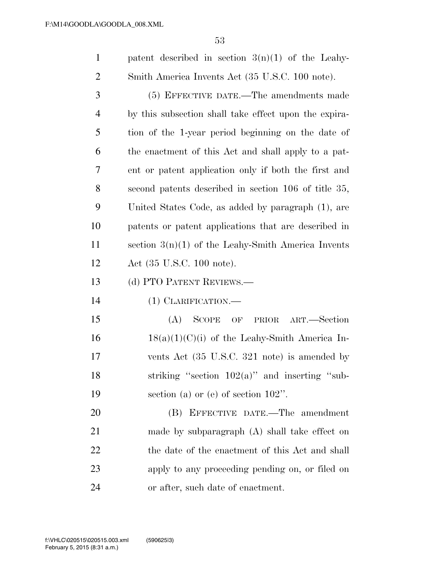1 patent described in section  $3(n)(1)$  of the Leahy-Smith America Invents Act (35 U.S.C. 100 note).

 (5) EFFECTIVE DATE.—The amendments made by this subsection shall take effect upon the expira- tion of the 1-year period beginning on the date of the enactment of this Act and shall apply to a pat- ent or patent application only if both the first and second patents described in section 106 of title 35, United States Code, as added by paragraph (1), are patents or patent applications that are described in section 3(n)(1) of the Leahy-Smith America Invents Act (35 U.S.C. 100 note).

13 (d) PTO PATENT REVIEWS.—

(1) CLARIFICATION.—

 (A) SCOPE OF PRIOR ART.—Section  $16 \qquad 18(a)(1)(C)(i)$  of the Leahy-Smith America In- vents Act (35 U.S.C. 321 note) is amended by 18 striking "section  $102(a)$ " and inserting "sub-section (a) or (e) of section 102''.

 (B) EFFECTIVE DATE.—The amendment made by subparagraph (A) shall take effect on 22 the date of the enactment of this Act and shall apply to any proceeding pending on, or filed on or after, such date of enactment.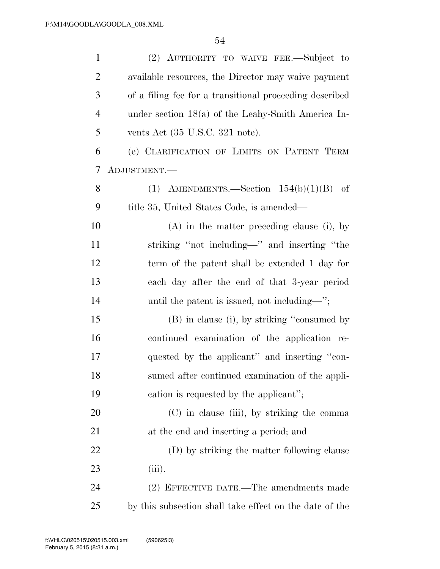| $\mathbf{1}$   | (2) AUTHORITY TO WAIVE FEE.—Subject to                  |
|----------------|---------------------------------------------------------|
| $\overline{2}$ | available resources, the Director may waive payment     |
| 3              | of a filing fee for a transitional proceeding described |
| $\overline{4}$ | under section $18(a)$ of the Leahy-Smith America In-    |
| 5              | vents Act $(35 \text{ U.S.C. } 321 \text{ note}).$      |
| 6              | (e) CLARIFICATION OF LIMITS ON PATENT TERM              |
| 7              | ADJUSTMENT.-                                            |
| 8              | (1) AMENDMENTS.—Section $154(b)(1)(B)$ of               |
| 9              | title 35, United States Code, is amended—               |
| 10             | $(A)$ in the matter preceding clause (i), by            |
| 11             | striking "not including—" and inserting "the            |
| 12             | term of the patent shall be extended 1 day for          |
| 13             | each day after the end of that 3-year period            |
| 14             | until the patent is issued, not including—";            |
| 15             | (B) in clause (i), by striking "consumed by             |
| 16             | continued examination of the application re-            |
| 17             | quested by the applicant" and inserting "con-           |
| 18             | sumed after continued examination of the appli-         |
| 19             | cation is requested by the applicant";                  |
| 20             | (C) in clause (iii), by striking the comma              |
| 21             | at the end and inserting a period; and                  |
| 22             | (D) by striking the matter following clause             |
| 23             | $(iii)$ .                                               |
| 24             | (2) EFFECTIVE DATE.—The amendments made                 |
| 25             | by this subsection shall take effect on the date of the |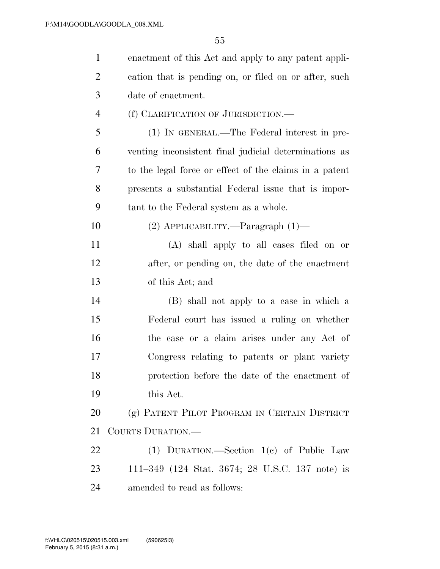| $\mathbf{1}$   | enactment of this Act and apply to any patent appli-   |
|----------------|--------------------------------------------------------|
| 2              | cation that is pending on, or filed on or after, such  |
| 3              | date of enactment.                                     |
| $\overline{4}$ | (f) CLARIFICATION OF JURISDICTION.                     |
| 5              | (1) IN GENERAL.—The Federal interest in pre-           |
| 6              | venting inconsistent final judicial determinations as  |
| 7              | to the legal force or effect of the claims in a patent |
| 8              | presents a substantial Federal issue that is impor-    |
| 9              | tant to the Federal system as a whole.                 |
| 10             | $(2)$ APPLICABILITY.—Paragraph $(1)$ —                 |
| 11             | (A) shall apply to all cases filed on or               |
| 12             | after, or pending on, the date of the enactment        |
| 13             | of this Act; and                                       |
| 14             | (B) shall not apply to a case in which a               |
| 15             | Federal court has issued a ruling on whether           |
| 16             | the case or a claim arises under any Act of            |
| 17             | Congress relating to patents or plant variety          |
| 18             | protection before the date of the enactment of         |
| 19             | this Act.                                              |
| <b>20</b>      | (g) PATENT PILOT PROGRAM IN CERTAIN DISTRICT           |
| 21             | COURTS DURATION.—                                      |
| 22             | (1) DURATION.—Section $1(e)$ of Public Law             |
| 23             | 111-349 (124 Stat. 3674; 28 U.S.C. 137 note) is        |
| 24             | amended to read as follows:                            |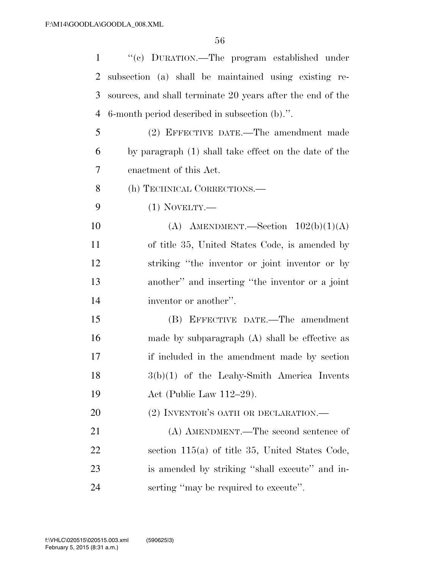| $\mathbf{1}$   | "(c) DURATION.—The program established under               |
|----------------|------------------------------------------------------------|
| $\overline{2}$ | subsection (a) shall be maintained using existing re-      |
| 3              | sources, and shall terminate 20 years after the end of the |
| $\overline{4}$ | 6-month period described in subsection (b).".              |
| 5              | (2) EFFECTIVE DATE.—The amendment made                     |
| 6              | by paragraph (1) shall take effect on the date of the      |
| 7              | enactment of this Act.                                     |
| 8              | (h) TECHNICAL CORRECTIONS.—                                |
| 9              | $(1)$ NOVELTY.—                                            |
| 10             | (A) AMENDMENT.—Section $102(b)(1)(A)$                      |
| 11             | of title 35, United States Code, is amended by             |
| 12             | striking "the inventor or joint inventor or by             |
| 13             | another" and inserting "the inventor or a joint            |
| 14             | inventor or another".                                      |
| 15             | (B) EFFECTIVE DATE.—The amendment                          |
| 16             | made by subparagraph $(A)$ shall be effective as           |
| 17             | if included in the amendment made by section               |
| 18             | $3(b)(1)$ of the Leahy-Smith America Invents               |
| 19             | Act (Public Law $112-29$ ).                                |
| 20             | (2) INVENTOR'S OATH OR DECLARATION.-                       |
| 21             | (A) AMENDMENT.—The second sentence of                      |
| 22             | section $115(a)$ of title 35, United States Code,          |
| 23             | is amended by striking "shall execute" and in-             |
| 24             | serting "may be required to execute".                      |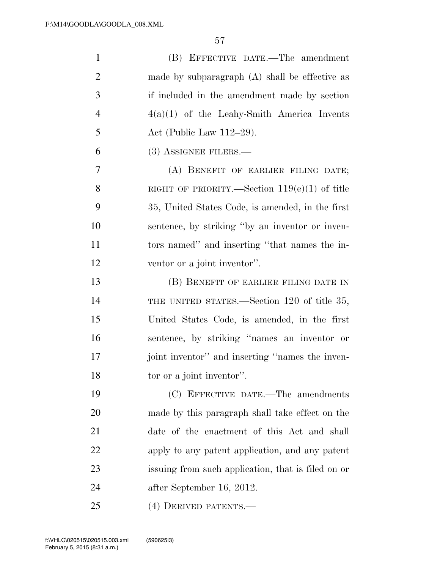| $\mathbf{1}$   | (B) EFFECTIVE DATE.—The amendment                  |
|----------------|----------------------------------------------------|
| $\overline{2}$ | made by subparagraph $(A)$ shall be effective as   |
| 3              | if included in the amendment made by section       |
| $\overline{4}$ | $4(a)(1)$ of the Leahy-Smith America Invents       |
| 5              | Act (Public Law $112-29$ ).                        |
| 6              | $(3)$ ASSIGNEE FILERS.—                            |
| 7              | (A) BENEFIT OF EARLIER FILING DATE;                |
| 8              | RIGHT OF PRIORITY.—Section $119(e)(1)$ of title    |
| 9              | 35, United States Code, is amended, in the first   |
| 10             | sentence, by striking "by an inventor or inven-    |
| 11             | tors named" and inserting "that names the in-      |
| 12             | ventor or a joint inventor".                       |
| 13             | (B) BENEFIT OF EARLIER FILING DATE IN              |
| 14             | THE UNITED STATES.—Section 120 of title 35,        |
| 15             | United States Code, is amended, in the first       |
| 16             | sentence, by striking "names an inventor or        |
| 17             | joint inventor" and inserting "names the inven-    |
| 18             | tor or a joint inventor".                          |
| 19             | (C) EFFECTIVE DATE.—The amendments                 |
| 20             | made by this paragraph shall take effect on the    |
| 21             | date of the enactment of this Act and shall        |
| 22             | apply to any patent application, and any patent    |
| 23             | issuing from such application, that is filed on or |
| 24             | after September 16, 2012.                          |
| 25             | (4) DERIVED PATENTS.—                              |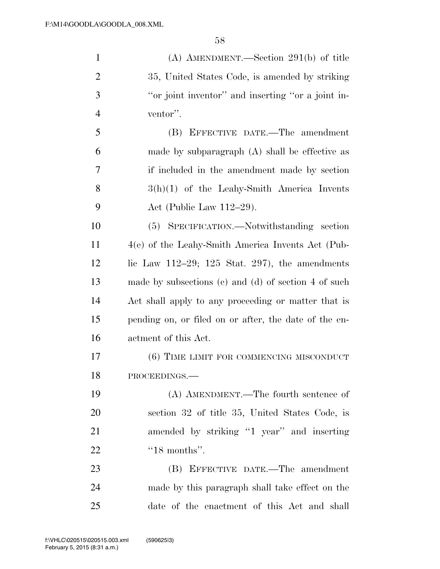| $\mathbf{1}$   | (A) AMENDMENT.—Section $291(b)$ of title                 |
|----------------|----------------------------------------------------------|
| $\overline{c}$ | 35, United States Code, is amended by striking           |
| 3              | "or joint inventor" and inserting "or a joint in-        |
| $\overline{4}$ | ventor".                                                 |
| 5              | (B) EFFECTIVE DATE.—The amendment                        |
| 6              | made by subparagraph $(A)$ shall be effective as         |
| 7              | if included in the amendment made by section             |
| 8              | $3(h)(1)$ of the Leahy-Smith America Invents             |
| 9              | Act (Public Law $112-29$ ).                              |
| 10             | (5) SPECIFICATION.—Notwithstanding section               |
| 11             | 4(e) of the Leahy-Smith America Invents Act (Pub-        |
| 12             | lic Law $112-29$ ; $125$ Stat. $297$ ), the amendments   |
| 13             | made by subsections $(c)$ and $(d)$ of section 4 of such |
| 14             | Act shall apply to any proceeding or matter that is      |
| 15             | pending on, or filed on or after, the date of the en-    |
| 16             | actment of this Act.                                     |
| 17             | (6) TIME LIMIT FOR COMMENCING MISCONDUCT                 |
| 18             | PROCEEDINGS.-                                            |
| 19             | (A) AMENDMENT.—The fourth sentence of                    |
| 20             | section 32 of title 35, United States Code, is           |
| 21             | amended by striking "1 year" and inserting               |
| 22             | " $18$ months".                                          |
| 23             | (B) EFFECTIVE DATE.—The amendment                        |
| 24             | made by this paragraph shall take effect on the          |
| 25             | date of the enactment of this Act and shall              |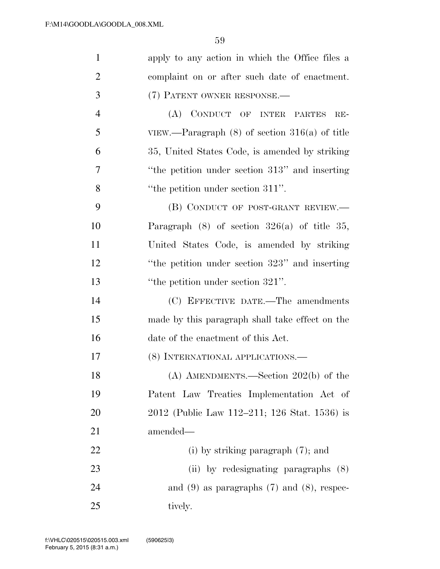| $\mathbf{1}$   | apply to any action in which the Office files a    |
|----------------|----------------------------------------------------|
| $\overline{2}$ | complaint on or after such date of enactment.      |
| 3              | (7) PATENT OWNER RESPONSE.                         |
| $\overline{4}$ | (A) CONDUCT OF INTER PARTES<br>$RE-$               |
| 5              | VIEW.—Paragraph $(8)$ of section $316(a)$ of title |
| 6              | 35, United States Code, is amended by striking     |
| 7              | "the petition under section 313" and inserting     |
| 8              | "the petition under section 311".                  |
| 9              | (B) CONDUCT OF POST-GRANT REVIEW.—                 |
| 10             | Paragraph $(8)$ of section $326(a)$ of title 35,   |
| 11             | United States Code, is amended by striking         |
| 12             | "the petition under section 323" and inserting     |
| 13             | "the petition under section 321".                  |
| 14             | (C) EFFECTIVE DATE.—The amendments                 |
| 15             | made by this paragraph shall take effect on the    |
| 16             | date of the enactment of this Act.                 |
| 17             | (8) INTERNATIONAL APPLICATIONS.—                   |
| 18             | $(A)$ AMENDMENTS.—Section 202(b) of the            |
| 19             | Patent Law Treaties Implementation Act of          |
| 20             | 2012 (Public Law 112–211; 126 Stat. 1536) is       |
| 21             | amended—                                           |
| 22             | (i) by striking paragraph $(7)$ ; and              |
| 23             | (ii) by redesignating paragraphs (8)               |
| 24             | and $(9)$ as paragraphs $(7)$ and $(8)$ , respec-  |
| 25             | tively.                                            |